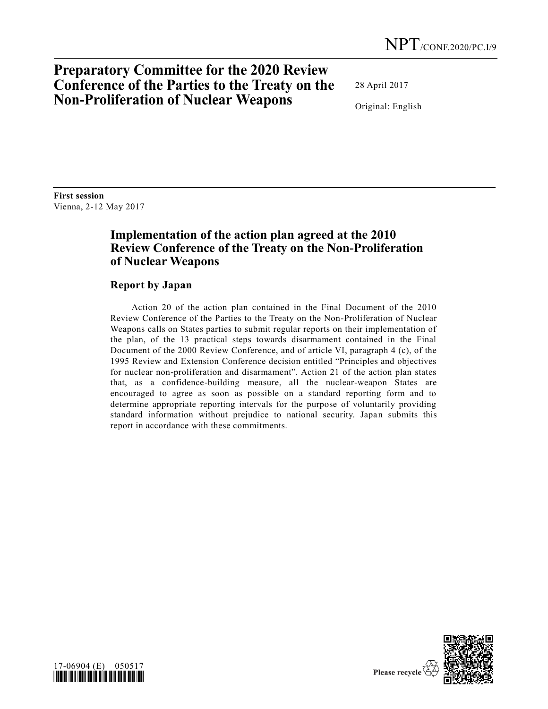## **Preparatory Committee for the 2020 Review Conference of the Parties to the Treaty on the Non-Proliferation of Nuclear Weapons**

28 April 2017

Original: English

**First session** Vienna, 2-12 May 2017

## **Implementation of the action plan agreed at the 2010 Review Conference of the Treaty on the Non-Proliferation of Nuclear Weapons**

## **Report by Japan**

Action 20 of the action plan contained in the Final Document of the 2010 Review Conference of the Parties to the Treaty on the Non-Proliferation of Nuclear Weapons calls on States parties to submit regular reports on their implementation of the plan, of the 13 practical steps towards disarmament contained in the Final Document of the 2000 Review Conference, and of article VI, paragraph 4 (c), of the 1995 Review and Extension Conference decision entitled "Principles and objectives for nuclear non-proliferation and disarmament". Action 21 of the action plan states that, as a confidence-building measure, all the nuclear-weapon States are encouraged to agree as soon as possible on a standard reporting form and to determine appropriate reporting intervals for the purpose of voluntarily providing standard information without prejudice to national security. Japan submits this report in accordance with these commitments.



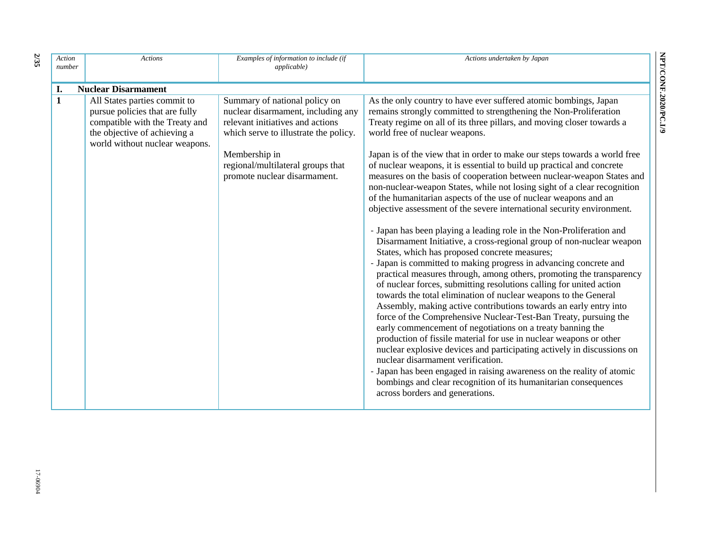| Action<br>number | <b>Actions</b>                                                                                                                                                     | Examples of information to include (if<br><i>applicable</i> )                                                                                                                                                                          | Actions undertaken by Japan                                                                                                                                                                                                                                                                                                                                                                                                                                                                                                                                                                                                                                                                                                                                                                                                                                                                                                                                                                                                                                                                                                                                                                                                                                                                                                                                                                                                                                                                                                                                                                                                                                                                                                                                                      |
|------------------|--------------------------------------------------------------------------------------------------------------------------------------------------------------------|----------------------------------------------------------------------------------------------------------------------------------------------------------------------------------------------------------------------------------------|----------------------------------------------------------------------------------------------------------------------------------------------------------------------------------------------------------------------------------------------------------------------------------------------------------------------------------------------------------------------------------------------------------------------------------------------------------------------------------------------------------------------------------------------------------------------------------------------------------------------------------------------------------------------------------------------------------------------------------------------------------------------------------------------------------------------------------------------------------------------------------------------------------------------------------------------------------------------------------------------------------------------------------------------------------------------------------------------------------------------------------------------------------------------------------------------------------------------------------------------------------------------------------------------------------------------------------------------------------------------------------------------------------------------------------------------------------------------------------------------------------------------------------------------------------------------------------------------------------------------------------------------------------------------------------------------------------------------------------------------------------------------------------|
| I.               | <b>Nuclear Disarmament</b>                                                                                                                                         |                                                                                                                                                                                                                                        |                                                                                                                                                                                                                                                                                                                                                                                                                                                                                                                                                                                                                                                                                                                                                                                                                                                                                                                                                                                                                                                                                                                                                                                                                                                                                                                                                                                                                                                                                                                                                                                                                                                                                                                                                                                  |
| $\mathbf{1}$     | All States parties commit to<br>pursue policies that are fully<br>compatible with the Treaty and<br>the objective of achieving a<br>world without nuclear weapons. | Summary of national policy on<br>nuclear disarmament, including any<br>relevant initiatives and actions<br>which serve to illustrate the policy.<br>Membership in<br>regional/multilateral groups that<br>promote nuclear disarmament. | As the only country to have ever suffered atomic bombings, Japan<br>remains strongly committed to strengthening the Non-Proliferation<br>Treaty regime on all of its three pillars, and moving closer towards a<br>world free of nuclear weapons.<br>Japan is of the view that in order to make our steps towards a world free<br>of nuclear weapons, it is essential to build up practical and concrete<br>measures on the basis of cooperation between nuclear-weapon States and<br>non-nuclear-weapon States, while not losing sight of a clear recognition<br>of the humanitarian aspects of the use of nuclear weapons and an<br>objective assessment of the severe international security environment.<br>- Japan has been playing a leading role in the Non-Proliferation and<br>Disarmament Initiative, a cross-regional group of non-nuclear weapon<br>States, which has proposed concrete measures;<br>- Japan is committed to making progress in advancing concrete and<br>practical measures through, among others, promoting the transparency<br>of nuclear forces, submitting resolutions calling for united action<br>towards the total elimination of nuclear weapons to the General<br>Assembly, making active contributions towards an early entry into<br>force of the Comprehensive Nuclear-Test-Ban Treaty, pursuing the<br>early commencement of negotiations on a treaty banning the<br>production of fissile material for use in nuclear weapons or other<br>nuclear explosive devices and participating actively in discussions on<br>nuclear disarmament verification.<br>- Japan has been engaged in raising awareness on the reality of atomic<br>bombings and clear recognition of its humanitarian consequences<br>across borders and generations. |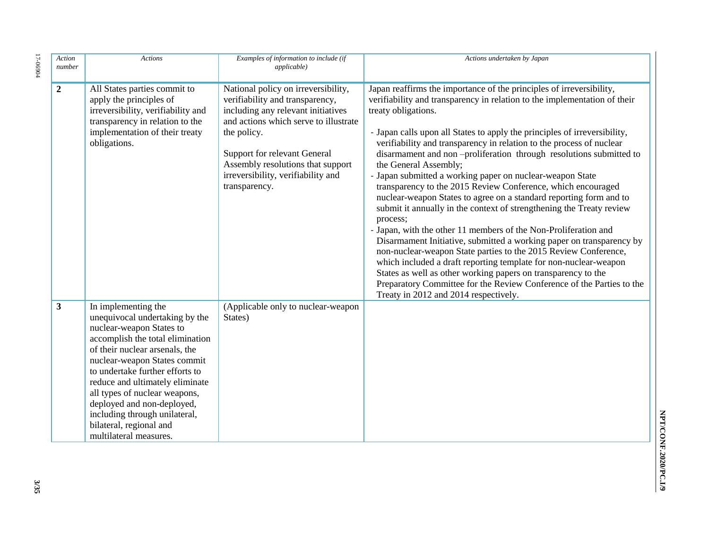| Action<br>number | <b>Actions</b>                                                                                                                                                                                                                                                                                                                                                                                                     | Examples of information to include (if<br><i>applicable</i> )                                                                                                                                                                                                                                    | Actions undertaken by Japan                                                                                                                                                                                                                                                                                                                                                                                                                                                                                                                                                                                                                                                                                                                                                                                                                                                                                                                                                                                                                                                                                                                                                              |
|------------------|--------------------------------------------------------------------------------------------------------------------------------------------------------------------------------------------------------------------------------------------------------------------------------------------------------------------------------------------------------------------------------------------------------------------|--------------------------------------------------------------------------------------------------------------------------------------------------------------------------------------------------------------------------------------------------------------------------------------------------|------------------------------------------------------------------------------------------------------------------------------------------------------------------------------------------------------------------------------------------------------------------------------------------------------------------------------------------------------------------------------------------------------------------------------------------------------------------------------------------------------------------------------------------------------------------------------------------------------------------------------------------------------------------------------------------------------------------------------------------------------------------------------------------------------------------------------------------------------------------------------------------------------------------------------------------------------------------------------------------------------------------------------------------------------------------------------------------------------------------------------------------------------------------------------------------|
| $\boldsymbol{2}$ | All States parties commit to<br>apply the principles of<br>irreversibility, verifiability and<br>transparency in relation to the<br>implementation of their treaty<br>obligations.                                                                                                                                                                                                                                 | National policy on irreversibility,<br>verifiability and transparency,<br>including any relevant initiatives<br>and actions which serve to illustrate<br>the policy.<br>Support for relevant General<br>Assembly resolutions that support<br>irreversibility, verifiability and<br>transparency. | Japan reaffirms the importance of the principles of irreversibility,<br>verifiability and transparency in relation to the implementation of their<br>treaty obligations.<br>- Japan calls upon all States to apply the principles of irreversibility,<br>verifiability and transparency in relation to the process of nuclear<br>disarmament and non-proliferation through resolutions submitted to<br>the General Assembly;<br>- Japan submitted a working paper on nuclear-weapon State<br>transparency to the 2015 Review Conference, which encouraged<br>nuclear-weapon States to agree on a standard reporting form and to<br>submit it annually in the context of strengthening the Treaty review<br>process;<br>- Japan, with the other 11 members of the Non-Proliferation and<br>Disarmament Initiative, submitted a working paper on transparency by<br>non-nuclear-weapon State parties to the 2015 Review Conference,<br>which included a draft reporting template for non-nuclear-weapon<br>States as well as other working papers on transparency to the<br>Preparatory Committee for the Review Conference of the Parties to the<br>Treaty in 2012 and 2014 respectively. |
| $\mathbf{3}$     | In implementing the<br>unequivocal undertaking by the<br>nuclear-weapon States to<br>accomplish the total elimination<br>of their nuclear arsenals, the<br>nuclear-weapon States commit<br>to undertake further efforts to<br>reduce and ultimately eliminate<br>all types of nuclear weapons,<br>deployed and non-deployed,<br>including through unilateral,<br>bilateral, regional and<br>multilateral measures. | (Applicable only to nuclear-weapon<br>States)                                                                                                                                                                                                                                                    |                                                                                                                                                                                                                                                                                                                                                                                                                                                                                                                                                                                                                                                                                                                                                                                                                                                                                                                                                                                                                                                                                                                                                                                          |

 $17 - 06904$ 17-06904

> NPT/CONF.2020/PC.I/9 **NPT/CONF.2020/PC.I/9**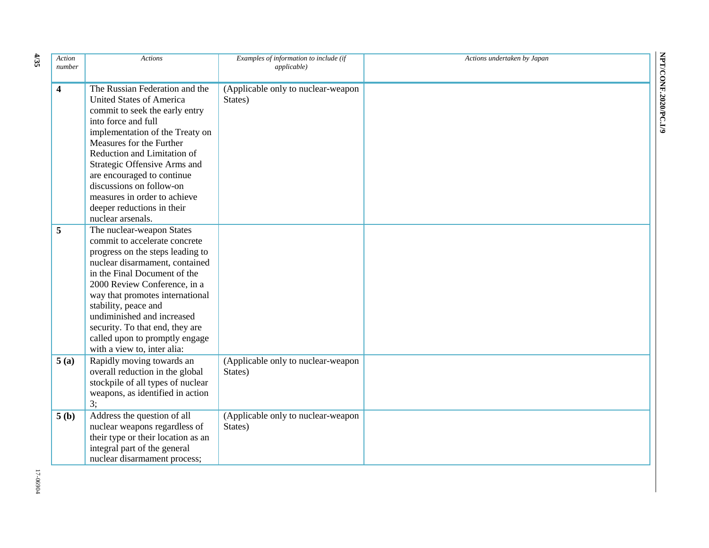| Action<br>number        | <b>Actions</b>                                                                                                                                                                                                                                                                                                                                                                                        | Examples of information to include (if<br><i>applicable</i> ) | Actions undertaken by Japan |
|-------------------------|-------------------------------------------------------------------------------------------------------------------------------------------------------------------------------------------------------------------------------------------------------------------------------------------------------------------------------------------------------------------------------------------------------|---------------------------------------------------------------|-----------------------------|
| $\overline{\mathbf{4}}$ | The Russian Federation and the<br><b>United States of America</b><br>commit to seek the early entry<br>into force and full<br>implementation of the Treaty on<br>Measures for the Further<br>Reduction and Limitation of<br>Strategic Offensive Arms and<br>are encouraged to continue<br>discussions on follow-on<br>measures in order to achieve<br>deeper reductions in their<br>nuclear arsenals. | (Applicable only to nuclear-weapon<br>States)                 |                             |
| 5                       | The nuclear-weapon States<br>commit to accelerate concrete<br>progress on the steps leading to<br>nuclear disarmament, contained<br>in the Final Document of the<br>2000 Review Conference, in a<br>way that promotes international<br>stability, peace and<br>undiminished and increased<br>security. To that end, they are<br>called upon to promptly engage<br>with a view to, inter alia:         |                                                               |                             |
| 5(a)                    | Rapidly moving towards an<br>overall reduction in the global<br>stockpile of all types of nuclear<br>weapons, as identified in action<br>3;                                                                                                                                                                                                                                                           | (Applicable only to nuclear-weapon<br>States)                 |                             |
| 5(b)                    | Address the question of all<br>nuclear weapons regardless of<br>their type or their location as an<br>integral part of the general<br>nuclear disarmament process;                                                                                                                                                                                                                                    | (Applicable only to nuclear-weapon<br>States)                 |                             |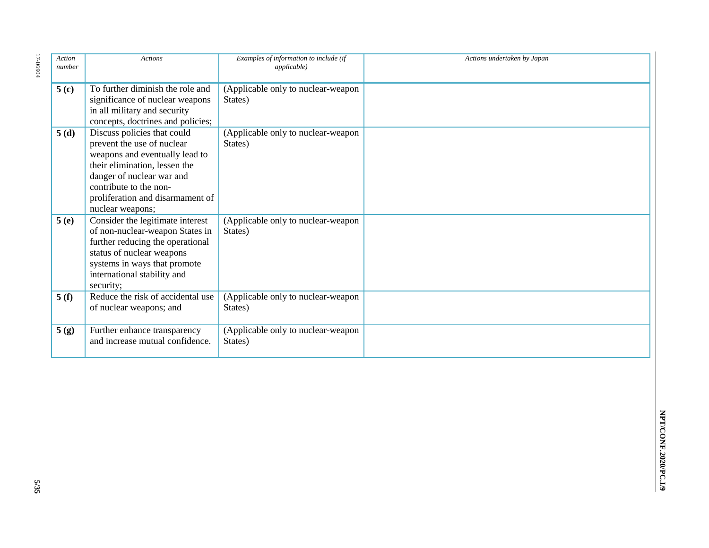| Action<br>number | <b>Actions</b>                                                                                                                                                                                                                              | Examples of information to include (if<br><i>applicable</i> ) | Actions undertaken by Japan |
|------------------|---------------------------------------------------------------------------------------------------------------------------------------------------------------------------------------------------------------------------------------------|---------------------------------------------------------------|-----------------------------|
| $5($ c $)$       | To further diminish the role and<br>significance of nuclear weapons<br>in all military and security<br>concepts, doctrines and policies;                                                                                                    | (Applicable only to nuclear-weapon<br>States)                 |                             |
| 5(d)             | Discuss policies that could<br>prevent the use of nuclear<br>weapons and eventually lead to<br>their elimination, lessen the<br>danger of nuclear war and<br>contribute to the non-<br>proliferation and disarmament of<br>nuclear weapons; | (Applicable only to nuclear-weapon<br>States)                 |                             |
| 5(e)             | Consider the legitimate interest<br>of non-nuclear-weapon States in<br>further reducing the operational<br>status of nuclear weapons<br>systems in ways that promote<br>international stability and<br>security;                            | (Applicable only to nuclear-weapon<br>States)                 |                             |
| 5(f)             | Reduce the risk of accidental use<br>of nuclear weapons; and                                                                                                                                                                                | (Applicable only to nuclear-weapon<br>States)                 |                             |
| 5(g)             | Further enhance transparency<br>and increase mutual confidence.                                                                                                                                                                             | (Applicable only to nuclear-weapon<br>States)                 |                             |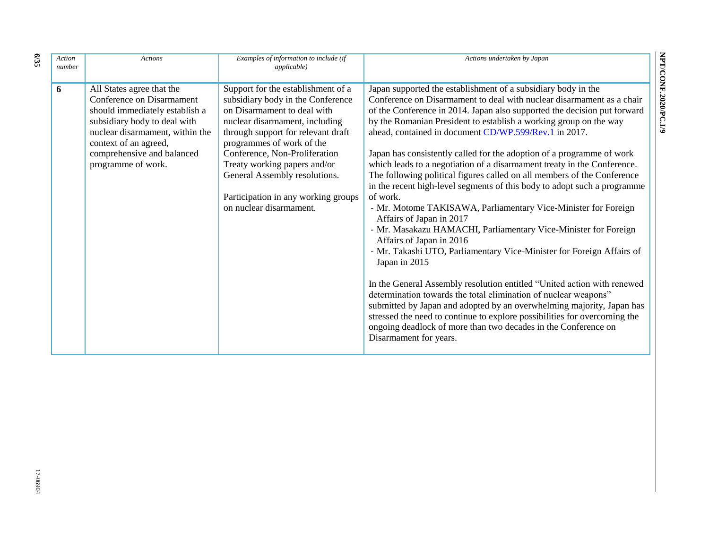| Action<br>number | <b>Actions</b>                                                                                                                                                                                                                           | Examples of information to include (if<br><i>applicable</i> )                                                                                                                                                                                                                                                                                                                   | Actions undertaken by Japan                                                                                                                                                                                                                                                                                                                                                                                                                                                                                                                                                                                                                                                                                                                                                                                                                                                                                                                                                                                                                                                                                                                                                                                                                                                                                                                                    |
|------------------|------------------------------------------------------------------------------------------------------------------------------------------------------------------------------------------------------------------------------------------|---------------------------------------------------------------------------------------------------------------------------------------------------------------------------------------------------------------------------------------------------------------------------------------------------------------------------------------------------------------------------------|----------------------------------------------------------------------------------------------------------------------------------------------------------------------------------------------------------------------------------------------------------------------------------------------------------------------------------------------------------------------------------------------------------------------------------------------------------------------------------------------------------------------------------------------------------------------------------------------------------------------------------------------------------------------------------------------------------------------------------------------------------------------------------------------------------------------------------------------------------------------------------------------------------------------------------------------------------------------------------------------------------------------------------------------------------------------------------------------------------------------------------------------------------------------------------------------------------------------------------------------------------------------------------------------------------------------------------------------------------------|
| 6                | All States agree that the<br>Conference on Disarmament<br>should immediately establish a<br>subsidiary body to deal with<br>nuclear disarmament, within the<br>context of an agreed,<br>comprehensive and balanced<br>programme of work. | Support for the establishment of a<br>subsidiary body in the Conference<br>on Disarmament to deal with<br>nuclear disarmament, including<br>through support for relevant draft<br>programmes of work of the<br>Conference, Non-Proliferation<br>Treaty working papers and/or<br>General Assembly resolutions.<br>Participation in any working groups<br>on nuclear disarmament. | Japan supported the establishment of a subsidiary body in the<br>Conference on Disarmament to deal with nuclear disarmament as a chair<br>of the Conference in 2014. Japan also supported the decision put forward<br>by the Romanian President to establish a working group on the way<br>ahead, contained in document CD/WP.599/Rev.1 in 2017.<br>Japan has consistently called for the adoption of a programme of work<br>which leads to a negotiation of a disarmament treaty in the Conference.<br>The following political figures called on all members of the Conference<br>in the recent high-level segments of this body to adopt such a programme<br>of work.<br>- Mr. Motome TAKISAWA, Parliamentary Vice-Minister for Foreign<br>Affairs of Japan in 2017<br>- Mr. Masakazu HAMACHI, Parliamentary Vice-Minister for Foreign<br>Affairs of Japan in 2016<br>- Mr. Takashi UTO, Parliamentary Vice-Minister for Foreign Affairs of<br>Japan in 2015<br>In the General Assembly resolution entitled "United action with renewed<br>determination towards the total elimination of nuclear weapons"<br>submitted by Japan and adopted by an overwhelming majority, Japan has<br>stressed the need to continue to explore possibilities for overcoming the<br>ongoing deadlock of more than two decades in the Conference on<br>Disarmament for years. |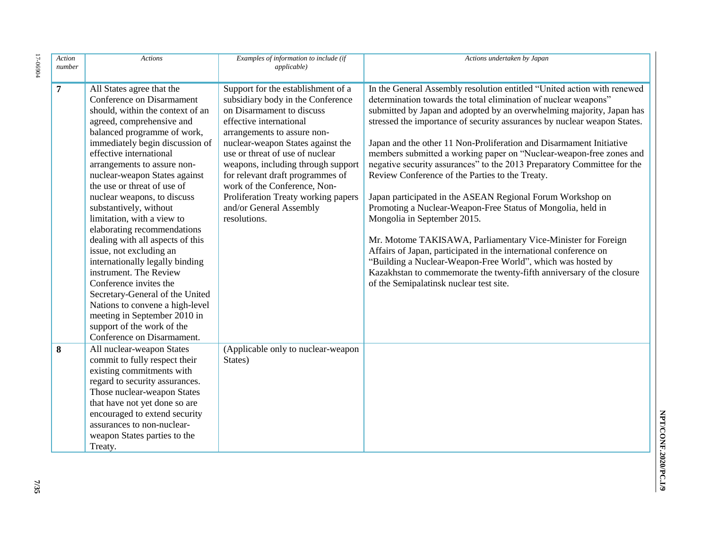| Action<br>number | <b>Actions</b>                                                                                                                                                                                                                                                                                                                                                                                                                                                                                                                                                                                                                                                                                                                                                    | Examples of information to include (if<br><i>applicable</i> )                                                                                                                                                                                                                                                                                                                                                                      | Actions undertaken by Japan                                                                                                                                                                                                                                                                                                                                                                                                                                                                                                                                                                                                                                                                                                                                                                                                                                                                                                                                                                                                                                     |
|------------------|-------------------------------------------------------------------------------------------------------------------------------------------------------------------------------------------------------------------------------------------------------------------------------------------------------------------------------------------------------------------------------------------------------------------------------------------------------------------------------------------------------------------------------------------------------------------------------------------------------------------------------------------------------------------------------------------------------------------------------------------------------------------|------------------------------------------------------------------------------------------------------------------------------------------------------------------------------------------------------------------------------------------------------------------------------------------------------------------------------------------------------------------------------------------------------------------------------------|-----------------------------------------------------------------------------------------------------------------------------------------------------------------------------------------------------------------------------------------------------------------------------------------------------------------------------------------------------------------------------------------------------------------------------------------------------------------------------------------------------------------------------------------------------------------------------------------------------------------------------------------------------------------------------------------------------------------------------------------------------------------------------------------------------------------------------------------------------------------------------------------------------------------------------------------------------------------------------------------------------------------------------------------------------------------|
| $\overline{7}$   | All States agree that the<br>Conference on Disarmament<br>should, within the context of an<br>agreed, comprehensive and<br>balanced programme of work,<br>immediately begin discussion of<br>effective international<br>arrangements to assure non-<br>nuclear-weapon States against<br>the use or threat of use of<br>nuclear weapons, to discuss<br>substantively, without<br>limitation, with a view to<br>elaborating recommendations<br>dealing with all aspects of this<br>issue, not excluding an<br>internationally legally binding<br>instrument. The Review<br>Conference invites the<br>Secretary-General of the United<br>Nations to convene a high-level<br>meeting in September 2010 in<br>support of the work of the<br>Conference on Disarmament. | Support for the establishment of a<br>subsidiary body in the Conference<br>on Disarmament to discuss<br>effective international<br>arrangements to assure non-<br>nuclear-weapon States against the<br>use or threat of use of nuclear<br>weapons, including through support<br>for relevant draft programmes of<br>work of the Conference, Non-<br>Proliferation Treaty working papers<br>and/or General Assembly<br>resolutions. | In the General Assembly resolution entitled "United action with renewed<br>determination towards the total elimination of nuclear weapons"<br>submitted by Japan and adopted by an overwhelming majority, Japan has<br>stressed the importance of security assurances by nuclear weapon States.<br>Japan and the other 11 Non-Proliferation and Disarmament Initiative<br>members submitted a working paper on "Nuclear-weapon-free zones and<br>negative security assurances" to the 2013 Preparatory Committee for the<br>Review Conference of the Parties to the Treaty.<br>Japan participated in the ASEAN Regional Forum Workshop on<br>Promoting a Nuclear-Weapon-Free Status of Mongolia, held in<br>Mongolia in September 2015.<br>Mr. Motome TAKISAWA, Parliamentary Vice-Minister for Foreign<br>Affairs of Japan, participated in the international conference on<br>"Building a Nuclear-Weapon-Free World", which was hosted by<br>Kazakhstan to commemorate the twenty-fifth anniversary of the closure<br>of the Semipalatinsk nuclear test site. |
| 8                | All nuclear-weapon States<br>commit to fully respect their<br>existing commitments with<br>regard to security assurances.<br>Those nuclear-weapon States<br>that have not yet done so are<br>encouraged to extend security<br>assurances to non-nuclear-<br>weapon States parties to the<br>Treaty.                                                                                                                                                                                                                                                                                                                                                                                                                                                               | (Applicable only to nuclear-weapon<br>States)                                                                                                                                                                                                                                                                                                                                                                                      |                                                                                                                                                                                                                                                                                                                                                                                                                                                                                                                                                                                                                                                                                                                                                                                                                                                                                                                                                                                                                                                                 |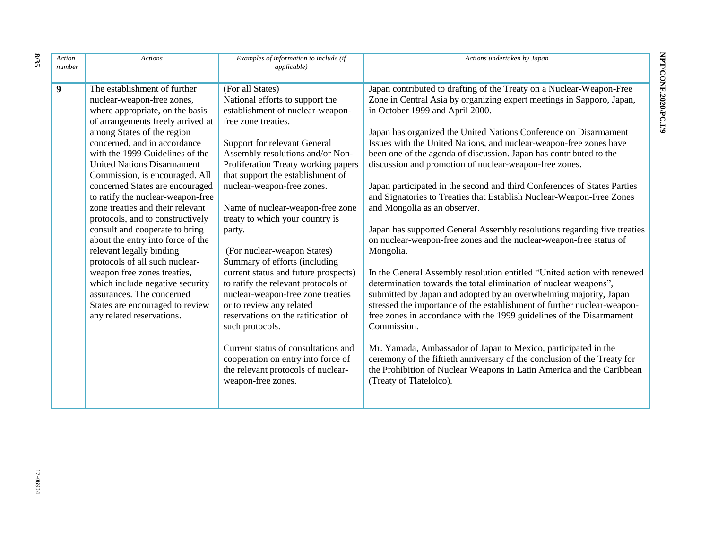| Action<br>number | <b>Actions</b>                                                                                                                                                                                                                                                                                                                                                                                                                                                                                                                                                                                                                                                                                                                                                 | Examples of information to include (if<br><i>applicable</i> )                                                                                                                                                                                                                                                                                                                                                                                                                                                                                                                                                                                                                                                                                                                                    | Actions undertaken by Japan                                                                                                                                                                                                                                                                                                                                                                                                                                                                                                                                                                                                                                                                                                                                                                                                                                                                                                                                                                                                                                                                                                                                                                                                                                                                                                                                                                                                                           |
|------------------|----------------------------------------------------------------------------------------------------------------------------------------------------------------------------------------------------------------------------------------------------------------------------------------------------------------------------------------------------------------------------------------------------------------------------------------------------------------------------------------------------------------------------------------------------------------------------------------------------------------------------------------------------------------------------------------------------------------------------------------------------------------|--------------------------------------------------------------------------------------------------------------------------------------------------------------------------------------------------------------------------------------------------------------------------------------------------------------------------------------------------------------------------------------------------------------------------------------------------------------------------------------------------------------------------------------------------------------------------------------------------------------------------------------------------------------------------------------------------------------------------------------------------------------------------------------------------|-------------------------------------------------------------------------------------------------------------------------------------------------------------------------------------------------------------------------------------------------------------------------------------------------------------------------------------------------------------------------------------------------------------------------------------------------------------------------------------------------------------------------------------------------------------------------------------------------------------------------------------------------------------------------------------------------------------------------------------------------------------------------------------------------------------------------------------------------------------------------------------------------------------------------------------------------------------------------------------------------------------------------------------------------------------------------------------------------------------------------------------------------------------------------------------------------------------------------------------------------------------------------------------------------------------------------------------------------------------------------------------------------------------------------------------------------------|
| 9                | The establishment of further<br>nuclear-weapon-free zones,<br>where appropriate, on the basis<br>of arrangements freely arrived at<br>among States of the region<br>concerned, and in accordance<br>with the 1999 Guidelines of the<br><b>United Nations Disarmament</b><br>Commission, is encouraged. All<br>concerned States are encouraged<br>to ratify the nuclear-weapon-free<br>zone treaties and their relevant<br>protocols, and to constructively<br>consult and cooperate to bring<br>about the entry into force of the<br>relevant legally binding<br>protocols of all such nuclear-<br>weapon free zones treaties,<br>which include negative security<br>assurances. The concerned<br>States are encouraged to review<br>any related reservations. | (For all States)<br>National efforts to support the<br>establishment of nuclear-weapon-<br>free zone treaties.<br>Support for relevant General<br>Assembly resolutions and/or Non-<br>Proliferation Treaty working papers<br>that support the establishment of<br>nuclear-weapon-free zones.<br>Name of nuclear-weapon-free zone<br>treaty to which your country is<br>party.<br>(For nuclear-weapon States)<br>Summary of efforts (including<br>current status and future prospects)<br>to ratify the relevant protocols of<br>nuclear-weapon-free zone treaties<br>or to review any related<br>reservations on the ratification of<br>such protocols.<br>Current status of consultations and<br>cooperation on entry into force of<br>the relevant protocols of nuclear-<br>weapon-free zones. | Japan contributed to drafting of the Treaty on a Nuclear-Weapon-Free<br>Zone in Central Asia by organizing expert meetings in Sapporo, Japan,<br>in October 1999 and April 2000.<br>Japan has organized the United Nations Conference on Disarmament<br>Issues with the United Nations, and nuclear-weapon-free zones have<br>been one of the agenda of discussion. Japan has contributed to the<br>discussion and promotion of nuclear-weapon-free zones.<br>Japan participated in the second and third Conferences of States Parties<br>and Signatories to Treaties that Establish Nuclear-Weapon-Free Zones<br>and Mongolia as an observer.<br>Japan has supported General Assembly resolutions regarding five treaties<br>on nuclear-weapon-free zones and the nuclear-weapon-free status of<br>Mongolia.<br>In the General Assembly resolution entitled "United action with renewed<br>determination towards the total elimination of nuclear weapons",<br>submitted by Japan and adopted by an overwhelming majority, Japan<br>stressed the importance of the establishment of further nuclear-weapon-<br>free zones in accordance with the 1999 guidelines of the Disarmament<br>Commission.<br>Mr. Yamada, Ambassador of Japan to Mexico, participated in the<br>ceremony of the fiftieth anniversary of the conclusion of the Treaty for<br>the Prohibition of Nuclear Weapons in Latin America and the Caribbean<br>(Treaty of Tlatelolco). |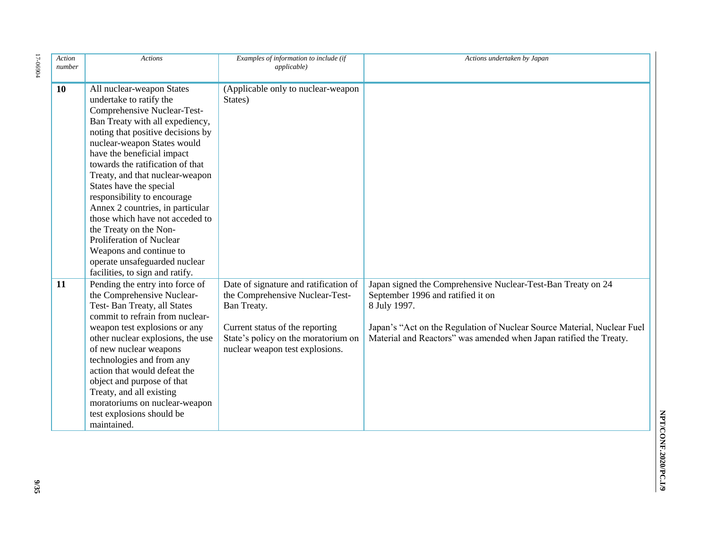| Action<br>number | <b>Actions</b>                                                                                                                                                                                                                                                                                                                                                                                                                                                                                                                                                                               | Examples of information to include (if<br><i>applicable</i> )                                                                                                                                        | Actions undertaken by Japan                                                                                                                                                                                                                                        |
|------------------|----------------------------------------------------------------------------------------------------------------------------------------------------------------------------------------------------------------------------------------------------------------------------------------------------------------------------------------------------------------------------------------------------------------------------------------------------------------------------------------------------------------------------------------------------------------------------------------------|------------------------------------------------------------------------------------------------------------------------------------------------------------------------------------------------------|--------------------------------------------------------------------------------------------------------------------------------------------------------------------------------------------------------------------------------------------------------------------|
| 10               | All nuclear-weapon States<br>undertake to ratify the<br>Comprehensive Nuclear-Test-<br>Ban Treaty with all expediency,<br>noting that positive decisions by<br>nuclear-weapon States would<br>have the beneficial impact<br>towards the ratification of that<br>Treaty, and that nuclear-weapon<br>States have the special<br>responsibility to encourage<br>Annex 2 countries, in particular<br>those which have not acceded to<br>the Treaty on the Non-<br><b>Proliferation of Nuclear</b><br>Weapons and continue to<br>operate unsafeguarded nuclear<br>facilities, to sign and ratify. | (Applicable only to nuclear-weapon<br>States)                                                                                                                                                        |                                                                                                                                                                                                                                                                    |
| 11               | Pending the entry into force of<br>the Comprehensive Nuclear-<br>Test-Ban Treaty, all States<br>commit to refrain from nuclear-<br>weapon test explosions or any<br>other nuclear explosions, the use<br>of new nuclear weapons<br>technologies and from any<br>action that would defeat the<br>object and purpose of that<br>Treaty, and all existing<br>moratoriums on nuclear-weapon<br>test explosions should be<br>maintained.                                                                                                                                                          | Date of signature and ratification of<br>the Comprehensive Nuclear-Test-<br>Ban Treaty.<br>Current status of the reporting<br>State's policy on the moratorium on<br>nuclear weapon test explosions. | Japan signed the Comprehensive Nuclear-Test-Ban Treaty on 24<br>September 1996 and ratified it on<br>8 July 1997.<br>Japan's "Act on the Regulation of Nuclear Source Material, Nuclear Fuel<br>Material and Reactors" was amended when Japan ratified the Treaty. |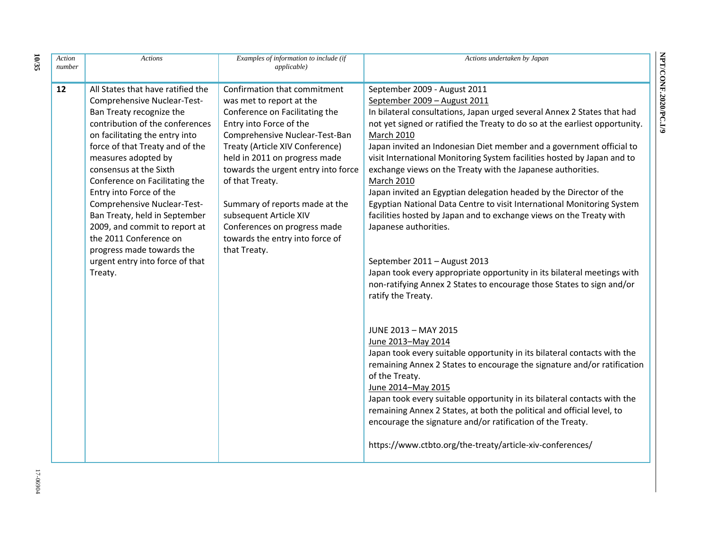| Action<br>number | <b>Actions</b>                                                                                                                                                                                                                                                                                                                                                                                                                                                                                                           | Examples of information to include (if<br><i>applicable</i> )                                                                                                                                                                                                                                                                                                                                                                        | Actions undertaken by Japan                                                                                                                                                                                                                                                                                                                                                                                                                                                                                                                                                                                                                                                                                                                                                                                                                                                                                                    |
|------------------|--------------------------------------------------------------------------------------------------------------------------------------------------------------------------------------------------------------------------------------------------------------------------------------------------------------------------------------------------------------------------------------------------------------------------------------------------------------------------------------------------------------------------|--------------------------------------------------------------------------------------------------------------------------------------------------------------------------------------------------------------------------------------------------------------------------------------------------------------------------------------------------------------------------------------------------------------------------------------|--------------------------------------------------------------------------------------------------------------------------------------------------------------------------------------------------------------------------------------------------------------------------------------------------------------------------------------------------------------------------------------------------------------------------------------------------------------------------------------------------------------------------------------------------------------------------------------------------------------------------------------------------------------------------------------------------------------------------------------------------------------------------------------------------------------------------------------------------------------------------------------------------------------------------------|
| 12               | All States that have ratified the<br>Comprehensive Nuclear-Test-<br>Ban Treaty recognize the<br>contribution of the conferences<br>on facilitating the entry into<br>force of that Treaty and of the<br>measures adopted by<br>consensus at the Sixth<br>Conference on Facilitating the<br>Entry into Force of the<br>Comprehensive Nuclear-Test-<br>Ban Treaty, held in September<br>2009, and commit to report at<br>the 2011 Conference on<br>progress made towards the<br>urgent entry into force of that<br>Treaty. | Confirmation that commitment<br>was met to report at the<br>Conference on Facilitating the<br>Entry into Force of the<br>Comprehensive Nuclear-Test-Ban<br>Treaty (Article XIV Conference)<br>held in 2011 on progress made<br>towards the urgent entry into force<br>of that Treaty.<br>Summary of reports made at the<br>subsequent Article XIV<br>Conferences on progress made<br>towards the entry into force of<br>that Treaty. | September 2009 - August 2011<br>September 2009 - August 2011<br>In bilateral consultations, Japan urged several Annex 2 States that had<br>not yet signed or ratified the Treaty to do so at the earliest opportunity.<br>March 2010<br>Japan invited an Indonesian Diet member and a government official to<br>visit International Monitoring System facilities hosted by Japan and to<br>exchange views on the Treaty with the Japanese authorities.<br>March 2010<br>Japan invited an Egyptian delegation headed by the Director of the<br>Egyptian National Data Centre to visit International Monitoring System<br>facilities hosted by Japan and to exchange views on the Treaty with<br>Japanese authorities.<br>September 2011 - August 2013<br>Japan took every appropriate opportunity in its bilateral meetings with<br>non-ratifying Annex 2 States to encourage those States to sign and/or<br>ratify the Treaty. |
|                  |                                                                                                                                                                                                                                                                                                                                                                                                                                                                                                                          |                                                                                                                                                                                                                                                                                                                                                                                                                                      | JUNE 2013 - MAY 2015<br>June 2013-May 2014<br>Japan took every suitable opportunity in its bilateral contacts with the<br>remaining Annex 2 States to encourage the signature and/or ratification<br>of the Treaty.<br>June 2014-May 2015<br>Japan took every suitable opportunity in its bilateral contacts with the<br>remaining Annex 2 States, at both the political and official level, to<br>encourage the signature and/or ratification of the Treaty.<br>https://www.ctbto.org/the-treaty/article-xiv-conferences/                                                                                                                                                                                                                                                                                                                                                                                                     |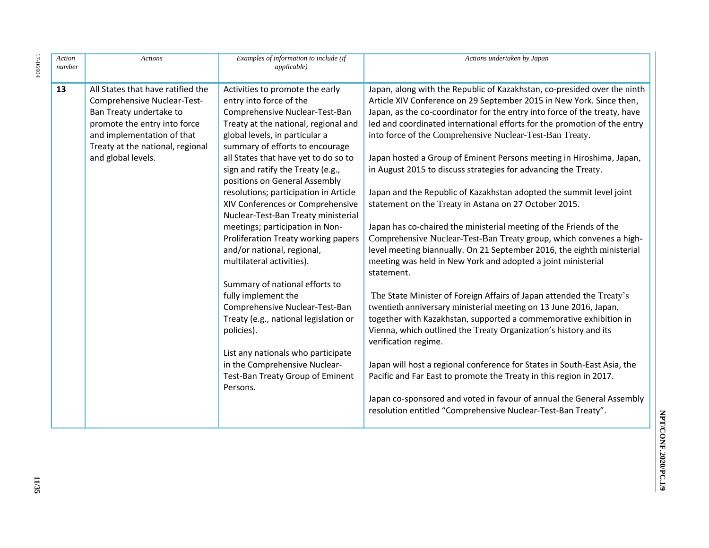| Action<br>number | <b>Actions</b>                                                                                                                                                                                                      | Examples of information to include (if<br><i>applicable</i> )                                                                                                                                                                                                                                                                                                                                                                                                                                                                                                                                                                                                                                                                                                                                             | Actions undertaken by Japan                                                                                                                                                                                                                                                                                                                                                                                                                                                                                                                                                                                                                                                                                                                                                                                                                                                                                                                                                                                                                                                                                                                                                                                                                                                                                                                    |
|------------------|---------------------------------------------------------------------------------------------------------------------------------------------------------------------------------------------------------------------|-----------------------------------------------------------------------------------------------------------------------------------------------------------------------------------------------------------------------------------------------------------------------------------------------------------------------------------------------------------------------------------------------------------------------------------------------------------------------------------------------------------------------------------------------------------------------------------------------------------------------------------------------------------------------------------------------------------------------------------------------------------------------------------------------------------|------------------------------------------------------------------------------------------------------------------------------------------------------------------------------------------------------------------------------------------------------------------------------------------------------------------------------------------------------------------------------------------------------------------------------------------------------------------------------------------------------------------------------------------------------------------------------------------------------------------------------------------------------------------------------------------------------------------------------------------------------------------------------------------------------------------------------------------------------------------------------------------------------------------------------------------------------------------------------------------------------------------------------------------------------------------------------------------------------------------------------------------------------------------------------------------------------------------------------------------------------------------------------------------------------------------------------------------------|
| 13               | All States that have ratified the<br>Comprehensive Nuclear-Test-<br>Ban Treaty undertake to<br>promote the entry into force<br>and implementation of that<br>Treaty at the national, regional<br>and global levels. | Activities to promote the early<br>entry into force of the<br>Comprehensive Nuclear-Test-Ban<br>Treaty at the national, regional and<br>global levels, in particular a<br>summary of efforts to encourage<br>all States that have yet to do so to<br>sign and ratify the Treaty (e.g.,<br>positions on General Assembly<br>resolutions; participation in Article<br>XIV Conferences or Comprehensive<br>Nuclear-Test-Ban Treaty ministerial<br>meetings; participation in Non-<br>Proliferation Treaty working papers<br>and/or national, regional,<br>multilateral activities).<br>Summary of national efforts to<br>fully implement the<br>Comprehensive Nuclear-Test-Ban<br>Treaty (e.g., national legislation or<br>policies).<br>List any nationals who participate<br>in the Comprehensive Nuclear- | Japan, along with the Republic of Kazakhstan, co-presided over the ninth<br>Article XIV Conference on 29 September 2015 in New York. Since then,<br>Japan, as the co-coordinator for the entry into force of the treaty, have<br>led and coordinated international efforts for the promotion of the entry<br>into force of the Comprehensive Nuclear-Test-Ban Treaty.<br>Japan hosted a Group of Eminent Persons meeting in Hiroshima, Japan,<br>in August 2015 to discuss strategies for advancing the Treaty.<br>Japan and the Republic of Kazakhstan adopted the summit level joint<br>statement on the Treaty in Astana on 27 October 2015.<br>Japan has co-chaired the ministerial meeting of the Friends of the<br>Comprehensive Nuclear-Test-Ban Treaty group, which convenes a high-<br>level meeting biannually. On 21 September 2016, the eighth ministerial<br>meeting was held in New York and adopted a joint ministerial<br>statement.<br>The State Minister of Foreign Affairs of Japan attended the Treaty's<br>twentieth anniversary ministerial meeting on 13 June 2016, Japan,<br>together with Kazakhstan, supported a commemorative exhibition in<br>Vienna, which outlined the Treaty Organization's history and its<br>verification regime.<br>Japan will host a regional conference for States in South-East Asia, the |
|                  |                                                                                                                                                                                                                     | Test-Ban Treaty Group of Eminent<br>Persons.                                                                                                                                                                                                                                                                                                                                                                                                                                                                                                                                                                                                                                                                                                                                                              | Pacific and Far East to promote the Treaty in this region in 2017.<br>Japan co-sponsored and voted in favour of annual the General Assembly<br>resolution entitled "Comprehensive Nuclear-Test-Ban Treaty".                                                                                                                                                                                                                                                                                                                                                                                                                                                                                                                                                                                                                                                                                                                                                                                                                                                                                                                                                                                                                                                                                                                                    |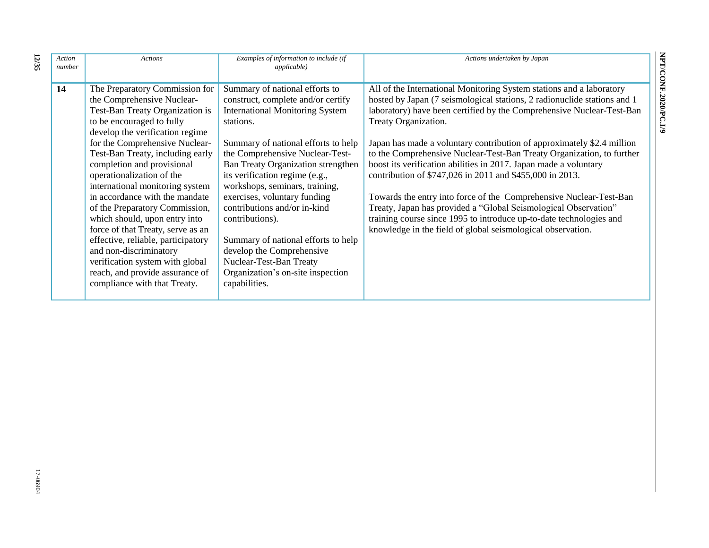| Action<br>number | <b>Actions</b>                                                                                                                                                                                                                                                                                                                                                                                                                                                                                                                                                                                                                                      | Examples of information to include (if<br><i>applicable</i> )                                                                                                                                                                                                                                                                                                                                                                                                                                                                                           | Actions undertaken by Japan                                                                                                                                                                                                                                                                                                                                                                                                                                                                                                                                                                                                                                                                                                                                                                                         |
|------------------|-----------------------------------------------------------------------------------------------------------------------------------------------------------------------------------------------------------------------------------------------------------------------------------------------------------------------------------------------------------------------------------------------------------------------------------------------------------------------------------------------------------------------------------------------------------------------------------------------------------------------------------------------------|---------------------------------------------------------------------------------------------------------------------------------------------------------------------------------------------------------------------------------------------------------------------------------------------------------------------------------------------------------------------------------------------------------------------------------------------------------------------------------------------------------------------------------------------------------|---------------------------------------------------------------------------------------------------------------------------------------------------------------------------------------------------------------------------------------------------------------------------------------------------------------------------------------------------------------------------------------------------------------------------------------------------------------------------------------------------------------------------------------------------------------------------------------------------------------------------------------------------------------------------------------------------------------------------------------------------------------------------------------------------------------------|
| 14               | The Preparatory Commission for<br>the Comprehensive Nuclear-<br>Test-Ban Treaty Organization is<br>to be encouraged to fully<br>develop the verification regime<br>for the Comprehensive Nuclear-<br>Test-Ban Treaty, including early<br>completion and provisional<br>operationalization of the<br>international monitoring system<br>in accordance with the mandate<br>of the Preparatory Commission,<br>which should, upon entry into<br>force of that Treaty, serve as an<br>effective, reliable, participatory<br>and non-discriminatory<br>verification system with global<br>reach, and provide assurance of<br>compliance with that Treaty. | Summary of national efforts to<br>construct, complete and/or certify<br><b>International Monitoring System</b><br>stations.<br>Summary of national efforts to help<br>the Comprehensive Nuclear-Test-<br>Ban Treaty Organization strengthen<br>its verification regime (e.g.,<br>workshops, seminars, training,<br>exercises, voluntary funding<br>contributions and/or in-kind<br>contributions).<br>Summary of national efforts to help<br>develop the Comprehensive<br>Nuclear-Test-Ban Treaty<br>Organization's on-site inspection<br>capabilities. | All of the International Monitoring System stations and a laboratory<br>hosted by Japan (7 seismological stations, 2 radionuclide stations and 1<br>laboratory) have been certified by the Comprehensive Nuclear-Test-Ban<br>Treaty Organization.<br>Japan has made a voluntary contribution of approximately \$2.4 million<br>to the Comprehensive Nuclear-Test-Ban Treaty Organization, to further<br>boost its verification abilities in 2017. Japan made a voluntary<br>contribution of \$747,026 in 2011 and \$455,000 in 2013.<br>Towards the entry into force of the Comprehensive Nuclear-Test-Ban<br>Treaty, Japan has provided a "Global Seismological Observation"<br>training course since 1995 to introduce up-to-date technologies and<br>knowledge in the field of global seismological observation. |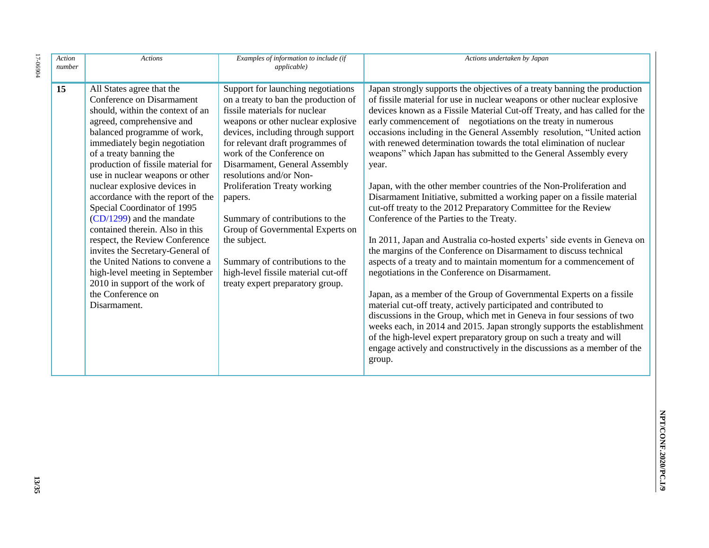| 17-06904 | Action<br>number | <b>Actions</b>                                                                                                                                                                                                                                                                                                                                                                                                                                                                                                                                                                                                                                                                       | Examples of information to include (if<br><i>applicable</i> )                                                                                                                                                                                                                                                                                                                                                                                                                                                                                                        | Actions undertaken by Japan                                                                                                                                                                                                                                                                                                                                                                                                                                                                                                                                                                                                                                                                                                                                                                                                                                                                                                                                                                                                                                                                                                                                                                                                                                                                                                                                                                                                                                                                                                                 |
|----------|------------------|--------------------------------------------------------------------------------------------------------------------------------------------------------------------------------------------------------------------------------------------------------------------------------------------------------------------------------------------------------------------------------------------------------------------------------------------------------------------------------------------------------------------------------------------------------------------------------------------------------------------------------------------------------------------------------------|----------------------------------------------------------------------------------------------------------------------------------------------------------------------------------------------------------------------------------------------------------------------------------------------------------------------------------------------------------------------------------------------------------------------------------------------------------------------------------------------------------------------------------------------------------------------|---------------------------------------------------------------------------------------------------------------------------------------------------------------------------------------------------------------------------------------------------------------------------------------------------------------------------------------------------------------------------------------------------------------------------------------------------------------------------------------------------------------------------------------------------------------------------------------------------------------------------------------------------------------------------------------------------------------------------------------------------------------------------------------------------------------------------------------------------------------------------------------------------------------------------------------------------------------------------------------------------------------------------------------------------------------------------------------------------------------------------------------------------------------------------------------------------------------------------------------------------------------------------------------------------------------------------------------------------------------------------------------------------------------------------------------------------------------------------------------------------------------------------------------------|
|          | 15               | All States agree that the<br>Conference on Disarmament<br>should, within the context of an<br>agreed, comprehensive and<br>balanced programme of work,<br>immediately begin negotiation<br>of a treaty banning the<br>production of fissile material for<br>use in nuclear weapons or other<br>nuclear explosive devices in<br>accordance with the report of the<br>Special Coordinator of 1995<br>$(CD/1299)$ and the mandate<br>contained therein. Also in this<br>respect, the Review Conference<br>invites the Secretary-General of<br>the United Nations to convene a<br>high-level meeting in September<br>2010 in support of the work of<br>the Conference on<br>Disarmament. | Support for launching negotiations<br>on a treaty to ban the production of<br>fissile materials for nuclear<br>weapons or other nuclear explosive<br>devices, including through support<br>for relevant draft programmes of<br>work of the Conference on<br>Disarmament, General Assembly<br>resolutions and/or Non-<br>Proliferation Treaty working<br>papers.<br>Summary of contributions to the<br>Group of Governmental Experts on<br>the subject.<br>Summary of contributions to the<br>high-level fissile material cut-off<br>treaty expert preparatory group. | Japan strongly supports the objectives of a treaty banning the production<br>of fissile material for use in nuclear weapons or other nuclear explosive<br>devices known as a Fissile Material Cut-off Treaty, and has called for the<br>early commencement of negotiations on the treaty in numerous<br>occasions including in the General Assembly resolution, "United action<br>with renewed determination towards the total elimination of nuclear<br>weapons" which Japan has submitted to the General Assembly every<br>year.<br>Japan, with the other member countries of the Non-Proliferation and<br>Disarmament Initiative, submitted a working paper on a fissile material<br>cut-off treaty to the 2012 Preparatory Committee for the Review<br>Conference of the Parties to the Treaty.<br>In 2011, Japan and Australia co-hosted experts' side events in Geneva on<br>the margins of the Conference on Disarmament to discuss technical<br>aspects of a treaty and to maintain momentum for a commencement of<br>negotiations in the Conference on Disarmament.<br>Japan, as a member of the Group of Governmental Experts on a fissile<br>material cut-off treaty, actively participated and contributed to<br>discussions in the Group, which met in Geneva in four sessions of two<br>weeks each, in 2014 and 2015. Japan strongly supports the establishment<br>of the high-level expert preparatory group on such a treaty and will<br>engage actively and constructively in the discussions as a member of the<br>group. |

**13/35**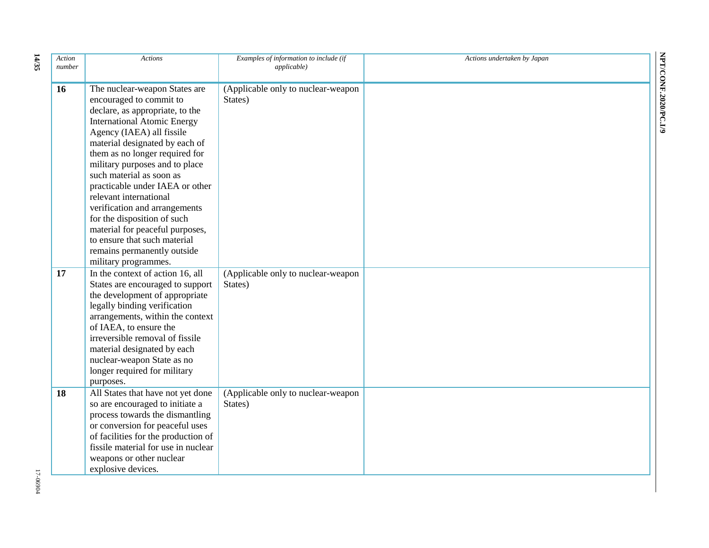| Action<br>number | <b>Actions</b>                                                                                                                                                                                                                                                                                                                                                                                                                                                                                                                                          | Examples of information to include (if<br><i>applicable</i> ) | Actions undertaken by Japan |
|------------------|---------------------------------------------------------------------------------------------------------------------------------------------------------------------------------------------------------------------------------------------------------------------------------------------------------------------------------------------------------------------------------------------------------------------------------------------------------------------------------------------------------------------------------------------------------|---------------------------------------------------------------|-----------------------------|
| 16               | The nuclear-weapon States are<br>encouraged to commit to<br>declare, as appropriate, to the<br><b>International Atomic Energy</b><br>Agency (IAEA) all fissile<br>material designated by each of<br>them as no longer required for<br>military purposes and to place<br>such material as soon as<br>practicable under IAEA or other<br>relevant international<br>verification and arrangements<br>for the disposition of such<br>material for peaceful purposes,<br>to ensure that such material<br>remains permanently outside<br>military programmes. | (Applicable only to nuclear-weapon<br>States)                 |                             |
| 17               | In the context of action 16, all<br>States are encouraged to support<br>the development of appropriate<br>legally binding verification<br>arrangements, within the context<br>of IAEA, to ensure the<br>irreversible removal of fissile<br>material designated by each<br>nuclear-weapon State as no<br>longer required for military<br>purposes.                                                                                                                                                                                                       | (Applicable only to nuclear-weapon<br>States)                 |                             |
| 18               | All States that have not yet done<br>so are encouraged to initiate a<br>process towards the dismantling<br>or conversion for peaceful uses<br>of facilities for the production of<br>fissile material for use in nuclear<br>weapons or other nuclear<br>explosive devices.                                                                                                                                                                                                                                                                              | (Applicable only to nuclear-weapon<br>States)                 |                             |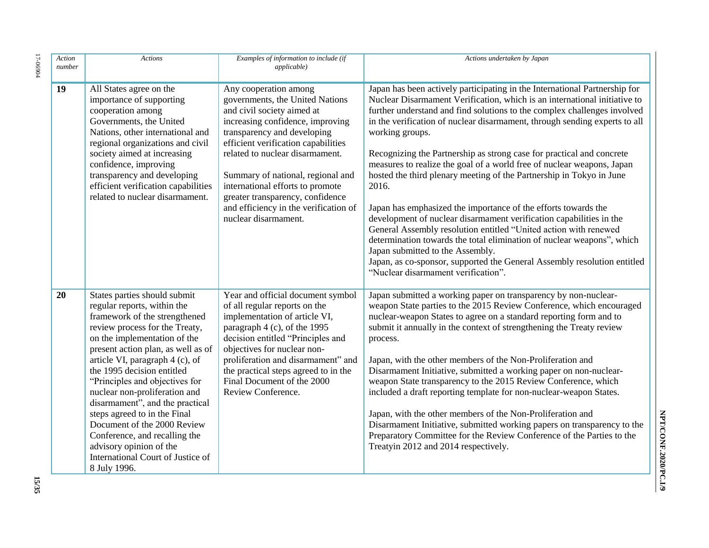| Action<br>number | <b>Actions</b>                                                                                                                                                                                                                                                                                                                                                                                                                                                                                                                                              | Examples of information to include (if<br>applicable)                                                                                                                                                                                                                                                                                                                                                             | Actions undertaken by Japan                                                                                                                                                                                                                                                                                                                                                                                                                                                                                                                                                                                                                                                                                                                                                                                                                                                                                                                                                                                            |
|------------------|-------------------------------------------------------------------------------------------------------------------------------------------------------------------------------------------------------------------------------------------------------------------------------------------------------------------------------------------------------------------------------------------------------------------------------------------------------------------------------------------------------------------------------------------------------------|-------------------------------------------------------------------------------------------------------------------------------------------------------------------------------------------------------------------------------------------------------------------------------------------------------------------------------------------------------------------------------------------------------------------|------------------------------------------------------------------------------------------------------------------------------------------------------------------------------------------------------------------------------------------------------------------------------------------------------------------------------------------------------------------------------------------------------------------------------------------------------------------------------------------------------------------------------------------------------------------------------------------------------------------------------------------------------------------------------------------------------------------------------------------------------------------------------------------------------------------------------------------------------------------------------------------------------------------------------------------------------------------------------------------------------------------------|
| 19               | All States agree on the<br>importance of supporting<br>cooperation among<br>Governments, the United<br>Nations, other international and<br>regional organizations and civil<br>society aimed at increasing<br>confidence, improving<br>transparency and developing<br>efficient verification capabilities<br>related to nuclear disarmament.                                                                                                                                                                                                                | Any cooperation among<br>governments, the United Nations<br>and civil society aimed at<br>increasing confidence, improving<br>transparency and developing<br>efficient verification capabilities<br>related to nuclear disarmament.<br>Summary of national, regional and<br>international efforts to promote<br>greater transparency, confidence<br>and efficiency in the verification of<br>nuclear disarmament. | Japan has been actively participating in the International Partnership for<br>Nuclear Disarmament Verification, which is an international initiative to<br>further understand and find solutions to the complex challenges involved<br>in the verification of nuclear disarmament, through sending experts to all<br>working groups.<br>Recognizing the Partnership as strong case for practical and concrete<br>measures to realize the goal of a world free of nuclear weapons, Japan<br>hosted the third plenary meeting of the Partnership in Tokyo in June<br>2016.<br>Japan has emphasized the importance of the efforts towards the<br>development of nuclear disarmament verification capabilities in the<br>General Assembly resolution entitled "United action with renewed<br>determination towards the total elimination of nuclear weapons", which<br>Japan submitted to the Assembly.<br>Japan, as co-sponsor, supported the General Assembly resolution entitled<br>"Nuclear disarmament verification". |
| 20               | States parties should submit<br>regular reports, within the<br>framework of the strengthened<br>review process for the Treaty,<br>on the implementation of the<br>present action plan, as well as of<br>article VI, paragraph 4 (c), of<br>the 1995 decision entitled<br>"Principles and objectives for<br>nuclear non-proliferation and<br>disarmament", and the practical<br>steps agreed to in the Final<br>Document of the 2000 Review<br>Conference, and recalling the<br>advisory opinion of the<br>International Court of Justice of<br>8 July 1996. | Year and official document symbol<br>of all regular reports on the<br>implementation of article VI,<br>paragraph 4 (c), of the 1995<br>decision entitled "Principles and<br>objectives for nuclear non-<br>proliferation and disarmament" and<br>the practical steps agreed to in the<br>Final Document of the 2000<br>Review Conference.                                                                         | Japan submitted a working paper on transparency by non-nuclear-<br>weapon State parties to the 2015 Review Conference, which encouraged<br>nuclear-weapon States to agree on a standard reporting form and to<br>submit it annually in the context of strengthening the Treaty review<br>process.<br>Japan, with the other members of the Non-Proliferation and<br>Disarmament Initiative, submitted a working paper on non-nuclear-<br>weapon State transparency to the 2015 Review Conference, which<br>included a draft reporting template for non-nuclear-weapon States.<br>Japan, with the other members of the Non-Proliferation and<br>Disarmament Initiative, submitted working papers on transparency to the<br>Preparatory Committee for the Review Conference of the Parties to the<br>Treatyin 2012 and 2014 respectively.                                                                                                                                                                                 |

**15/35**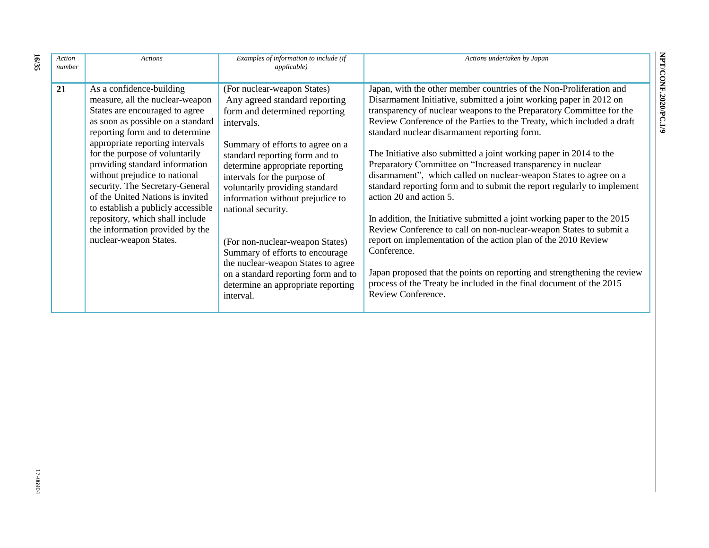| Action<br>number | <b>Actions</b>                                                                                                                                                                                                                                                                                                                                                                                                                                                                                                             | Examples of information to include (if<br><i>applicable</i> )                                                                                                                                                                                                                                                                                                                                                                                                                                                                                          | Actions undertaken by Japan                                                                                                                                                                                                                                                                                                                                                                                                                                                                                                                                                                                                                                                                                                                                                                                                                                                                                                                                                                                                                                            |
|------------------|----------------------------------------------------------------------------------------------------------------------------------------------------------------------------------------------------------------------------------------------------------------------------------------------------------------------------------------------------------------------------------------------------------------------------------------------------------------------------------------------------------------------------|--------------------------------------------------------------------------------------------------------------------------------------------------------------------------------------------------------------------------------------------------------------------------------------------------------------------------------------------------------------------------------------------------------------------------------------------------------------------------------------------------------------------------------------------------------|------------------------------------------------------------------------------------------------------------------------------------------------------------------------------------------------------------------------------------------------------------------------------------------------------------------------------------------------------------------------------------------------------------------------------------------------------------------------------------------------------------------------------------------------------------------------------------------------------------------------------------------------------------------------------------------------------------------------------------------------------------------------------------------------------------------------------------------------------------------------------------------------------------------------------------------------------------------------------------------------------------------------------------------------------------------------|
| 21               | As a confidence-building<br>measure, all the nuclear-weapon<br>States are encouraged to agree<br>as soon as possible on a standard<br>reporting form and to determine<br>appropriate reporting intervals<br>for the purpose of voluntarily<br>providing standard information<br>without prejudice to national<br>security. The Secretary-General<br>of the United Nations is invited<br>to establish a publicly accessible<br>repository, which shall include<br>the information provided by the<br>nuclear-weapon States. | (For nuclear-weapon States)<br>Any agreed standard reporting<br>form and determined reporting<br>intervals.<br>Summary of efforts to agree on a<br>standard reporting form and to<br>determine appropriate reporting<br>intervals for the purpose of<br>voluntarily providing standard<br>information without prejudice to<br>national security.<br>(For non-nuclear-weapon States)<br>Summary of efforts to encourage<br>the nuclear-weapon States to agree<br>on a standard reporting form and to<br>determine an appropriate reporting<br>interval. | Japan, with the other member countries of the Non-Proliferation and<br>Disarmament Initiative, submitted a joint working paper in 2012 on<br>transparency of nuclear weapons to the Preparatory Committee for the<br>Review Conference of the Parties to the Treaty, which included a draft<br>standard nuclear disarmament reporting form.<br>The Initiative also submitted a joint working paper in 2014 to the<br>Preparatory Committee on "Increased transparency in nuclear<br>disarmament", which called on nuclear-weapon States to agree on a<br>standard reporting form and to submit the report regularly to implement<br>action 20 and action 5.<br>In addition, the Initiative submitted a joint working paper to the 2015<br>Review Conference to call on non-nuclear-weapon States to submit a<br>report on implementation of the action plan of the 2010 Review<br>Conference.<br>Japan proposed that the points on reporting and strengthening the review<br>process of the Treaty be included in the final document of the 2015<br>Review Conference. |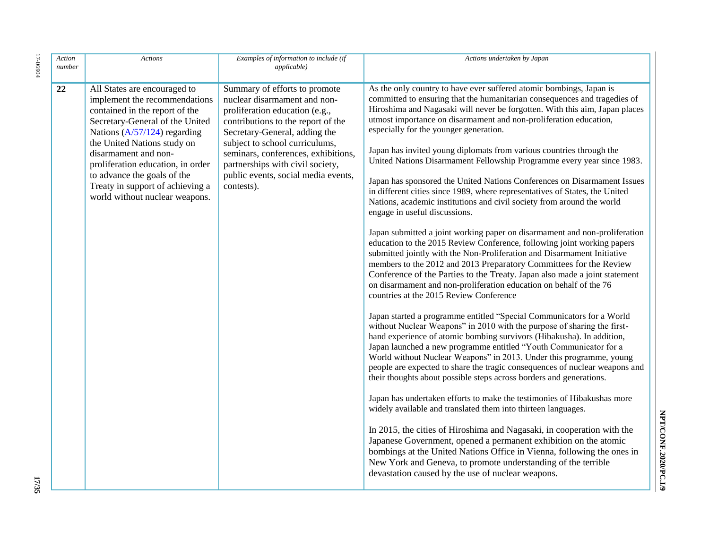| Action<br>number | <b>Actions</b>                                                                                                                                                                                                                                                                                                                                                        | Examples of information to include (if<br><i>applicable</i> )                                                                                                                                                                                                                                                                            | Actions undertaken by Japan                                                                                                                                                                                                                                                                                                                                                                                                                                                                                                                                                                                                                                                                                                                                                                                                                                                                                                                                                                                                                                                                                                                                                                                                                                                                                                                                                                                                                                                                                                                                                                                                                                                                                                                                                                                                                                                                                                                                                                                                                                                                                                                                                                                                                                                                              |
|------------------|-----------------------------------------------------------------------------------------------------------------------------------------------------------------------------------------------------------------------------------------------------------------------------------------------------------------------------------------------------------------------|------------------------------------------------------------------------------------------------------------------------------------------------------------------------------------------------------------------------------------------------------------------------------------------------------------------------------------------|----------------------------------------------------------------------------------------------------------------------------------------------------------------------------------------------------------------------------------------------------------------------------------------------------------------------------------------------------------------------------------------------------------------------------------------------------------------------------------------------------------------------------------------------------------------------------------------------------------------------------------------------------------------------------------------------------------------------------------------------------------------------------------------------------------------------------------------------------------------------------------------------------------------------------------------------------------------------------------------------------------------------------------------------------------------------------------------------------------------------------------------------------------------------------------------------------------------------------------------------------------------------------------------------------------------------------------------------------------------------------------------------------------------------------------------------------------------------------------------------------------------------------------------------------------------------------------------------------------------------------------------------------------------------------------------------------------------------------------------------------------------------------------------------------------------------------------------------------------------------------------------------------------------------------------------------------------------------------------------------------------------------------------------------------------------------------------------------------------------------------------------------------------------------------------------------------------------------------------------------------------------------------------------------------------|
| 22               | All States are encouraged to<br>implement the recommendations<br>contained in the report of the<br>Secretary-General of the United<br>Nations $(A/57/124)$ regarding<br>the United Nations study on<br>disarmament and non-<br>proliferation education, in order<br>to advance the goals of the<br>Treaty in support of achieving a<br>world without nuclear weapons. | Summary of efforts to promote<br>nuclear disarmament and non-<br>proliferation education (e.g.,<br>contributions to the report of the<br>Secretary-General, adding the<br>subject to school curriculums,<br>seminars, conferences, exhibitions,<br>partnerships with civil society,<br>public events, social media events,<br>contests). | As the only country to have ever suffered atomic bombings, Japan is<br>committed to ensuring that the humanitarian consequences and tragedies of<br>Hiroshima and Nagasaki will never be forgotten. With this aim, Japan places<br>utmost importance on disarmament and non-proliferation education,<br>especially for the younger generation.<br>Japan has invited young diplomats from various countries through the<br>United Nations Disarmament Fellowship Programme every year since 1983.<br>Japan has sponsored the United Nations Conferences on Disarmament Issues<br>in different cities since 1989, where representatives of States, the United<br>Nations, academic institutions and civil society from around the world<br>engage in useful discussions.<br>Japan submitted a joint working paper on disarmament and non-proliferation<br>education to the 2015 Review Conference, following joint working papers<br>submitted jointly with the Non-Proliferation and Disarmament Initiative<br>members to the 2012 and 2013 Preparatory Committees for the Review<br>Conference of the Parties to the Treaty. Japan also made a joint statement<br>on disarmament and non-proliferation education on behalf of the 76<br>countries at the 2015 Review Conference<br>Japan started a programme entitled "Special Communicators for a World<br>without Nuclear Weapons" in 2010 with the purpose of sharing the first-<br>hand experience of atomic bombing survivors (Hibakusha). In addition,<br>Japan launched a new programme entitled "Youth Communicator for a<br>World without Nuclear Weapons" in 2013. Under this programme, young<br>people are expected to share the tragic consequences of nuclear weapons and<br>their thoughts about possible steps across borders and generations.<br>Japan has undertaken efforts to make the testimonies of Hibakushas more<br>widely available and translated them into thirteen languages.<br>In 2015, the cities of Hiroshima and Nagasaki, in cooperation with the<br>Japanese Government, opened a permanent exhibition on the atomic<br>bombings at the United Nations Office in Vienna, following the ones in<br>New York and Geneva, to promote understanding of the terrible<br>devastation caused by the use of nuclear weapons. |

 $17 - 06904$ 17-06904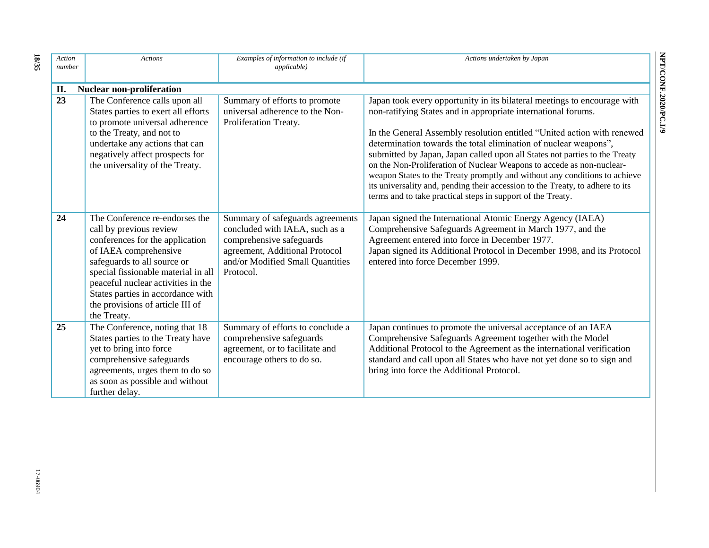| Action<br>number | <b>Actions</b>                                                                                                                                                                                                                                                                                                            | Examples of information to include (if<br><i>applicable</i> )                                                                                                                     | Actions undertaken by Japan                                                                                                                                                                                                                                                                                                                                                                                                                                                                                                                                                                                                                                                   |
|------------------|---------------------------------------------------------------------------------------------------------------------------------------------------------------------------------------------------------------------------------------------------------------------------------------------------------------------------|-----------------------------------------------------------------------------------------------------------------------------------------------------------------------------------|-------------------------------------------------------------------------------------------------------------------------------------------------------------------------------------------------------------------------------------------------------------------------------------------------------------------------------------------------------------------------------------------------------------------------------------------------------------------------------------------------------------------------------------------------------------------------------------------------------------------------------------------------------------------------------|
| II.              | <b>Nuclear non-proliferation</b>                                                                                                                                                                                                                                                                                          |                                                                                                                                                                                   |                                                                                                                                                                                                                                                                                                                                                                                                                                                                                                                                                                                                                                                                               |
| $\overline{23}$  | The Conference calls upon all<br>States parties to exert all efforts<br>to promote universal adherence<br>to the Treaty, and not to<br>undertake any actions that can<br>negatively affect prospects for<br>the universality of the Treaty.                                                                               | Summary of efforts to promote<br>universal adherence to the Non-<br>Proliferation Treaty.                                                                                         | Japan took every opportunity in its bilateral meetings to encourage with<br>non-ratifying States and in appropriate international forums.<br>In the General Assembly resolution entitled "United action with renewed<br>determination towards the total elimination of nuclear weapons",<br>submitted by Japan, Japan called upon all States not parties to the Treaty<br>on the Non-Proliferation of Nuclear Weapons to accede as non-nuclear-<br>weapon States to the Treaty promptly and without any conditions to achieve<br>its universality and, pending their accession to the Treaty, to adhere to its<br>terms and to take practical steps in support of the Treaty. |
| 24               | The Conference re-endorses the<br>call by previous review<br>conferences for the application<br>of IAEA comprehensive<br>safeguards to all source or<br>special fissionable material in all<br>peaceful nuclear activities in the<br>States parties in accordance with<br>the provisions of article III of<br>the Treaty. | Summary of safeguards agreements<br>concluded with IAEA, such as a<br>comprehensive safeguards<br>agreement, Additional Protocol<br>and/or Modified Small Quantities<br>Protocol. | Japan signed the International Atomic Energy Agency (IAEA)<br>Comprehensive Safeguards Agreement in March 1977, and the<br>Agreement entered into force in December 1977.<br>Japan signed its Additional Protocol in December 1998, and its Protocol<br>entered into force December 1999.                                                                                                                                                                                                                                                                                                                                                                                     |
| 25               | The Conference, noting that 18<br>States parties to the Treaty have<br>yet to bring into force<br>comprehensive safeguards<br>agreements, urges them to do so<br>as soon as possible and without<br>further delay.                                                                                                        | Summary of efforts to conclude a<br>comprehensive safeguards<br>agreement, or to facilitate and<br>encourage others to do so.                                                     | Japan continues to promote the universal acceptance of an IAEA<br>Comprehensive Safeguards Agreement together with the Model<br>Additional Protocol to the Agreement as the international verification<br>standard and call upon all States who have not yet done so to sign and<br>bring into force the Additional Protocol.                                                                                                                                                                                                                                                                                                                                                 |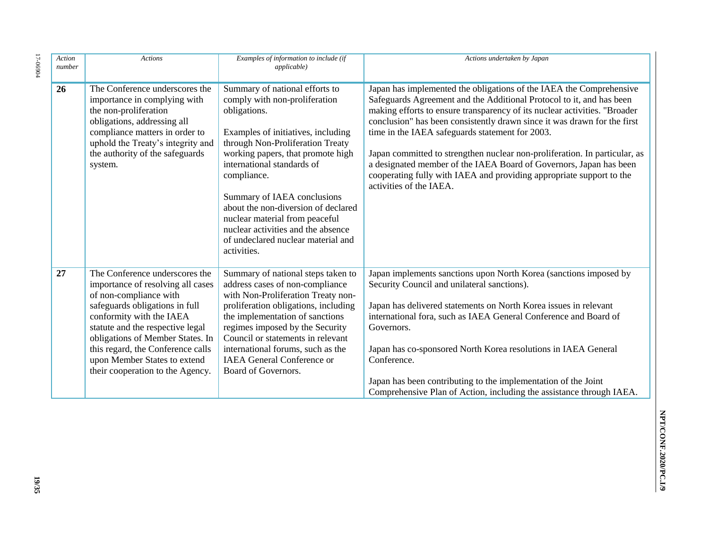| Action<br>number | <b>Actions</b>                                                                                                                                                                                                                                                                                                                               | Examples of information to include (if<br>applicable)                                                                                                                                                                                                                                                                                                                                                                                          | Actions undertaken by Japan                                                                                                                                                                                                                                                                                                                                                                                                                                                                                                                                                                                    |
|------------------|----------------------------------------------------------------------------------------------------------------------------------------------------------------------------------------------------------------------------------------------------------------------------------------------------------------------------------------------|------------------------------------------------------------------------------------------------------------------------------------------------------------------------------------------------------------------------------------------------------------------------------------------------------------------------------------------------------------------------------------------------------------------------------------------------|----------------------------------------------------------------------------------------------------------------------------------------------------------------------------------------------------------------------------------------------------------------------------------------------------------------------------------------------------------------------------------------------------------------------------------------------------------------------------------------------------------------------------------------------------------------------------------------------------------------|
| 26               | The Conference underscores the<br>importance in complying with<br>the non-proliferation<br>obligations, addressing all<br>compliance matters in order to<br>uphold the Treaty's integrity and<br>the authority of the safeguards<br>system.                                                                                                  | Summary of national efforts to<br>comply with non-proliferation<br>obligations.<br>Examples of initiatives, including<br>through Non-Proliferation Treaty<br>working papers, that promote high<br>international standards of<br>compliance.<br>Summary of IAEA conclusions<br>about the non-diversion of declared<br>nuclear material from peaceful<br>nuclear activities and the absence<br>of undeclared nuclear material and<br>activities. | Japan has implemented the obligations of the IAEA the Comprehensive<br>Safeguards Agreement and the Additional Protocol to it, and has been<br>making efforts to ensure transparency of its nuclear activities. "Broader<br>conclusion" has been consistently drawn since it was drawn for the first<br>time in the IAEA safeguards statement for 2003.<br>Japan committed to strengthen nuclear non-proliferation. In particular, as<br>a designated member of the IAEA Board of Governors, Japan has been<br>cooperating fully with IAEA and providing appropriate support to the<br>activities of the IAEA. |
| 27               | The Conference underscores the<br>importance of resolving all cases<br>of non-compliance with<br>safeguards obligations in full<br>conformity with the IAEA<br>statute and the respective legal<br>obligations of Member States. In<br>this regard, the Conference calls<br>upon Member States to extend<br>their cooperation to the Agency. | Summary of national steps taken to<br>address cases of non-compliance<br>with Non-Proliferation Treaty non-<br>proliferation obligations, including<br>the implementation of sanctions<br>regimes imposed by the Security<br>Council or statements in relevant<br>international forums, such as the<br><b>IAEA</b> General Conference or<br>Board of Governors.                                                                                | Japan implements sanctions upon North Korea (sanctions imposed by<br>Security Council and unilateral sanctions).<br>Japan has delivered statements on North Korea issues in relevant<br>international fora, such as IAEA General Conference and Board of<br>Governors.<br>Japan has co-sponsored North Korea resolutions in IAEA General<br>Conference.<br>Japan has been contributing to the implementation of the Joint<br>Comprehensive Plan of Action, including the assistance through IAEA.                                                                                                              |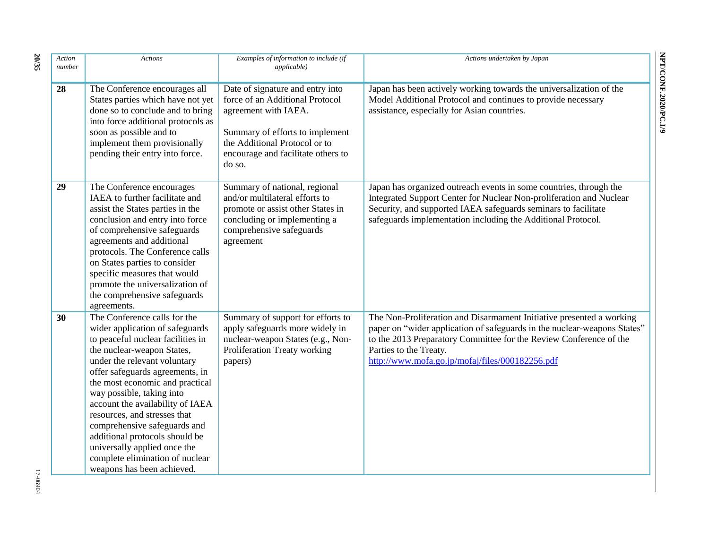| Action<br>number | <b>Actions</b>                                                                                                                                                                                                                                                                                                                                                                                                                                                                                               | Examples of information to include (if<br><i>applicable</i> )                                                                                                                                                   | Actions undertaken by Japan                                                                                                                                                                                                                                                                         |
|------------------|--------------------------------------------------------------------------------------------------------------------------------------------------------------------------------------------------------------------------------------------------------------------------------------------------------------------------------------------------------------------------------------------------------------------------------------------------------------------------------------------------------------|-----------------------------------------------------------------------------------------------------------------------------------------------------------------------------------------------------------------|-----------------------------------------------------------------------------------------------------------------------------------------------------------------------------------------------------------------------------------------------------------------------------------------------------|
| 28               | The Conference encourages all<br>States parties which have not yet<br>done so to conclude and to bring<br>into force additional protocols as<br>soon as possible and to<br>implement them provisionally<br>pending their entry into force.                                                                                                                                                                                                                                                                   | Date of signature and entry into<br>force of an Additional Protocol<br>agreement with IAEA.<br>Summary of efforts to implement<br>the Additional Protocol or to<br>encourage and facilitate others to<br>do so. | Japan has been actively working towards the universalization of the<br>Model Additional Protocol and continues to provide necessary<br>assistance, especially for Asian countries.                                                                                                                  |
| 29               | The Conference encourages<br>IAEA to further facilitate and<br>assist the States parties in the<br>conclusion and entry into force<br>of comprehensive safeguards<br>agreements and additional<br>protocols. The Conference calls<br>on States parties to consider<br>specific measures that would<br>promote the universalization of<br>the comprehensive safeguards<br>agreements.                                                                                                                         | Summary of national, regional<br>and/or multilateral efforts to<br>promote or assist other States in<br>concluding or implementing a<br>comprehensive safeguards<br>agreement                                   | Japan has organized outreach events in some countries, through the<br>Integrated Support Center for Nuclear Non-proliferation and Nuclear<br>Security, and supported IAEA safeguards seminars to facilitate<br>safeguards implementation including the Additional Protocol.                         |
| 30               | The Conference calls for the<br>wider application of safeguards<br>to peaceful nuclear facilities in<br>the nuclear-weapon States,<br>under the relevant voluntary<br>offer safeguards agreements, in<br>the most economic and practical<br>way possible, taking into<br>account the availability of IAEA<br>resources, and stresses that<br>comprehensive safeguards and<br>additional protocols should be<br>universally applied once the<br>complete elimination of nuclear<br>weapons has been achieved. | Summary of support for efforts to<br>apply safeguards more widely in<br>nuclear-weapon States (e.g., Non-<br>Proliferation Treaty working<br>papers)                                                            | The Non-Proliferation and Disarmament Initiative presented a working<br>paper on "wider application of safeguards in the nuclear-weapons States"<br>to the 2013 Preparatory Committee for the Review Conference of the<br>Parties to the Treaty.<br>http://www.mofa.go.jp/mofaj/files/000182256.pdf |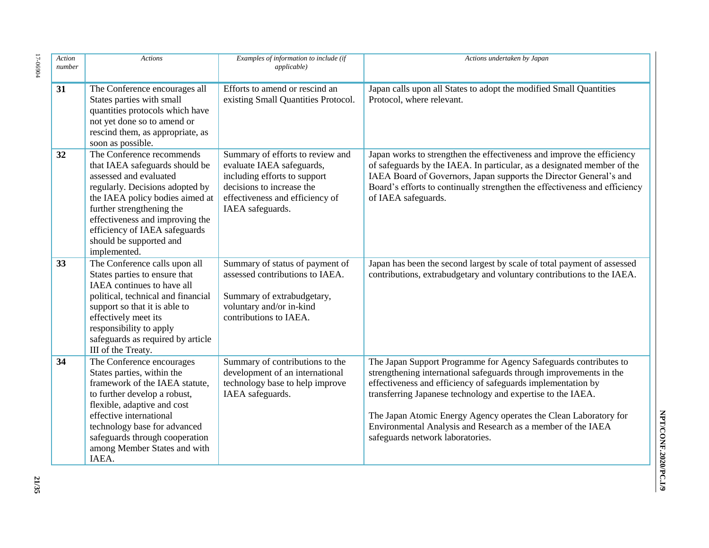| Action<br>number | <b>Actions</b>                                                                                                                                                                                                                                                                                          | Examples of information to include (if<br><i>applicable</i> )                                                                                                                     | Actions undertaken by Japan                                                                                                                                                                                                                                                                                                                                                                                                                  |
|------------------|---------------------------------------------------------------------------------------------------------------------------------------------------------------------------------------------------------------------------------------------------------------------------------------------------------|-----------------------------------------------------------------------------------------------------------------------------------------------------------------------------------|----------------------------------------------------------------------------------------------------------------------------------------------------------------------------------------------------------------------------------------------------------------------------------------------------------------------------------------------------------------------------------------------------------------------------------------------|
| 31               | The Conference encourages all<br>States parties with small<br>quantities protocols which have<br>not yet done so to amend or<br>rescind them, as appropriate, as<br>soon as possible.                                                                                                                   | Efforts to amend or rescind an<br>existing Small Quantities Protocol.                                                                                                             | Japan calls upon all States to adopt the modified Small Quantities<br>Protocol, where relevant.                                                                                                                                                                                                                                                                                                                                              |
| 32               | The Conference recommends<br>that IAEA safeguards should be<br>assessed and evaluated<br>regularly. Decisions adopted by<br>the IAEA policy bodies aimed at<br>further strengthening the<br>effectiveness and improving the<br>efficiency of IAEA safeguards<br>should be supported and<br>implemented. | Summary of efforts to review and<br>evaluate IAEA safeguards,<br>including efforts to support<br>decisions to increase the<br>effectiveness and efficiency of<br>IAEA safeguards. | Japan works to strengthen the effectiveness and improve the efficiency<br>of safeguards by the IAEA. In particular, as a designated member of the<br>IAEA Board of Governors, Japan supports the Director General's and<br>Board's efforts to continually strengthen the effectiveness and efficiency<br>of IAEA safeguards.                                                                                                                 |
| 33               | The Conference calls upon all<br>States parties to ensure that<br>IAEA continues to have all<br>political, technical and financial<br>support so that it is able to<br>effectively meet its<br>responsibility to apply<br>safeguards as required by article<br>III of the Treaty.                       | Summary of status of payment of<br>assessed contributions to IAEA.<br>Summary of extrabudgetary,<br>voluntary and/or in-kind<br>contributions to IAEA.                            | Japan has been the second largest by scale of total payment of assessed<br>contributions, extrabudgetary and voluntary contributions to the IAEA.                                                                                                                                                                                                                                                                                            |
| 34               | The Conference encourages<br>States parties, within the<br>framework of the IAEA statute,<br>to further develop a robust,<br>flexible, adaptive and cost<br>effective international<br>technology base for advanced<br>safeguards through cooperation<br>among Member States and with<br>IAEA.          | Summary of contributions to the<br>development of an international<br>technology base to help improve<br>IAEA safeguards.                                                         | The Japan Support Programme for Agency Safeguards contributes to<br>strengthening international safeguards through improvements in the<br>effectiveness and efficiency of safeguards implementation by<br>transferring Japanese technology and expertise to the IAEA.<br>The Japan Atomic Energy Agency operates the Clean Laboratory for<br>Environmental Analysis and Research as a member of the IAEA<br>safeguards network laboratories. |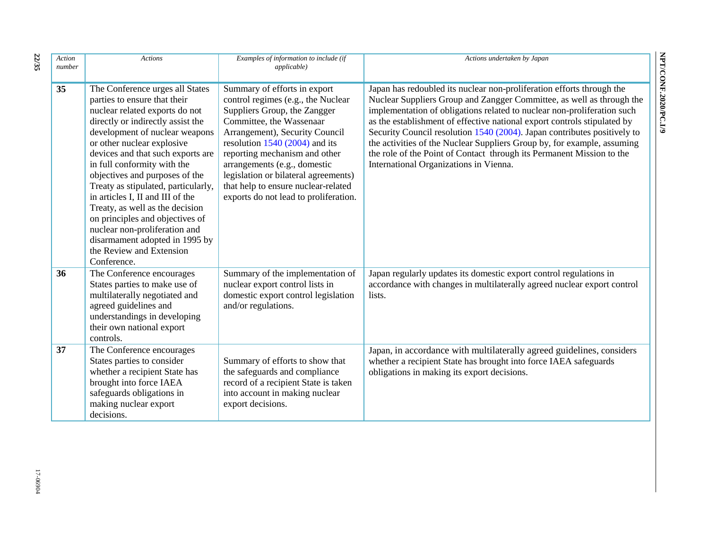| Action<br>number | <b>Actions</b>                                                                                                                                                                                                                                                                                                                                                                                                                                                                                                                                                              | Examples of information to include (if<br><i>applicable</i> )                                                                                                                                                                                                                                                                                                                                | Actions undertaken by Japan                                                                                                                                                                                                                                                                                                                                                                                                                                                                                                                                                     |
|------------------|-----------------------------------------------------------------------------------------------------------------------------------------------------------------------------------------------------------------------------------------------------------------------------------------------------------------------------------------------------------------------------------------------------------------------------------------------------------------------------------------------------------------------------------------------------------------------------|----------------------------------------------------------------------------------------------------------------------------------------------------------------------------------------------------------------------------------------------------------------------------------------------------------------------------------------------------------------------------------------------|---------------------------------------------------------------------------------------------------------------------------------------------------------------------------------------------------------------------------------------------------------------------------------------------------------------------------------------------------------------------------------------------------------------------------------------------------------------------------------------------------------------------------------------------------------------------------------|
| 35               | The Conference urges all States<br>parties to ensure that their<br>nuclear related exports do not<br>directly or indirectly assist the<br>development of nuclear weapons<br>or other nuclear explosive<br>devices and that such exports are<br>in full conformity with the<br>objectives and purposes of the<br>Treaty as stipulated, particularly,<br>in articles I, II and III of the<br>Treaty, as well as the decision<br>on principles and objectives of<br>nuclear non-proliferation and<br>disarmament adopted in 1995 by<br>the Review and Extension<br>Conference. | Summary of efforts in export<br>control regimes (e.g., the Nuclear<br>Suppliers Group, the Zangger<br>Committee, the Wassenaar<br>Arrangement), Security Council<br>resolution $1540(2004)$ and its<br>reporting mechanism and other<br>arrangements (e.g., domestic<br>legislation or bilateral agreements)<br>that help to ensure nuclear-related<br>exports do not lead to proliferation. | Japan has redoubled its nuclear non-proliferation efforts through the<br>Nuclear Suppliers Group and Zangger Committee, as well as through the<br>implementation of obligations related to nuclear non-proliferation such<br>as the establishment of effective national export controls stipulated by<br>Security Council resolution 1540 (2004). Japan contributes positively to<br>the activities of the Nuclear Suppliers Group by, for example, assuming<br>the role of the Point of Contact through its Permanent Mission to the<br>International Organizations in Vienna. |
| 36               | The Conference encourages<br>States parties to make use of<br>multilaterally negotiated and<br>agreed guidelines and<br>understandings in developing<br>their own national export<br>controls.                                                                                                                                                                                                                                                                                                                                                                              | Summary of the implementation of<br>nuclear export control lists in<br>domestic export control legislation<br>and/or regulations.                                                                                                                                                                                                                                                            | Japan regularly updates its domestic export control regulations in<br>accordance with changes in multilaterally agreed nuclear export control<br>lists.                                                                                                                                                                                                                                                                                                                                                                                                                         |
| 37               | The Conference encourages<br>States parties to consider<br>whether a recipient State has<br>brought into force IAEA<br>safeguards obligations in<br>making nuclear export<br>decisions.                                                                                                                                                                                                                                                                                                                                                                                     | Summary of efforts to show that<br>the safeguards and compliance<br>record of a recipient State is taken<br>into account in making nuclear<br>export decisions.                                                                                                                                                                                                                              | Japan, in accordance with multilaterally agreed guidelines, considers<br>whether a recipient State has brought into force IAEA safeguards<br>obligations in making its export decisions.                                                                                                                                                                                                                                                                                                                                                                                        |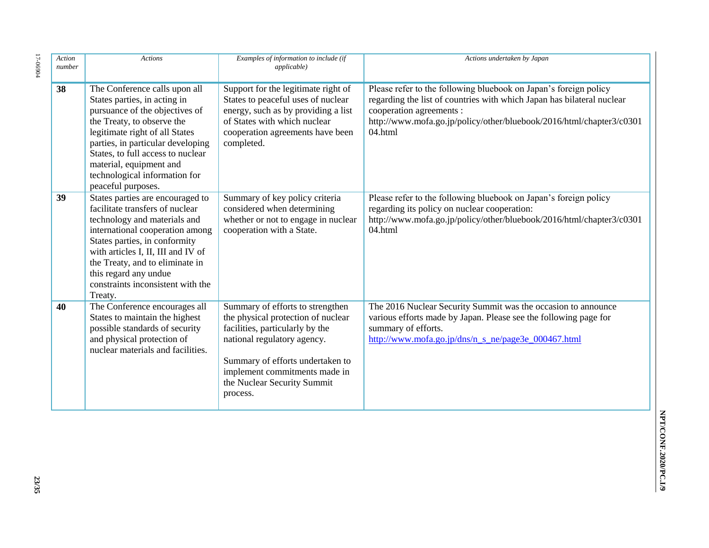| Action<br>number | <b>Actions</b>                                                                                                                                                                                                                                                                                                              | Examples of information to include (if<br><i>applicable</i> )                                                                                                                                                                                            | Actions undertaken by Japan                                                                                                                                                                                                                               |
|------------------|-----------------------------------------------------------------------------------------------------------------------------------------------------------------------------------------------------------------------------------------------------------------------------------------------------------------------------|----------------------------------------------------------------------------------------------------------------------------------------------------------------------------------------------------------------------------------------------------------|-----------------------------------------------------------------------------------------------------------------------------------------------------------------------------------------------------------------------------------------------------------|
| 38               | The Conference calls upon all<br>States parties, in acting in<br>pursuance of the objectives of<br>the Treaty, to observe the<br>legitimate right of all States<br>parties, in particular developing<br>States, to full access to nuclear<br>material, equipment and<br>technological information for<br>peaceful purposes. | Support for the legitimate right of<br>States to peaceful uses of nuclear<br>energy, such as by providing a list<br>of States with which nuclear<br>cooperation agreements have been<br>completed.                                                       | Please refer to the following bluebook on Japan's foreign policy<br>regarding the list of countries with which Japan has bilateral nuclear<br>cooperation agreements :<br>http://www.mofa.go.jp/policy/other/bluebook/2016/html/chapter3/c0301<br>04.html |
| 39               | States parties are encouraged to<br>facilitate transfers of nuclear<br>technology and materials and<br>international cooperation among<br>States parties, in conformity<br>with articles I, II, III and IV of<br>the Treaty, and to eliminate in<br>this regard any undue<br>constraints inconsistent with the<br>Treaty.   | Summary of key policy criteria<br>considered when determining<br>whether or not to engage in nuclear<br>cooperation with a State.                                                                                                                        | Please refer to the following bluebook on Japan's foreign policy<br>regarding its policy on nuclear cooperation:<br>http://www.mofa.go.jp/policy/other/bluebook/2016/html/chapter3/c0301<br>04.html                                                       |
| 40               | The Conference encourages all<br>States to maintain the highest<br>possible standards of security<br>and physical protection of<br>nuclear materials and facilities.                                                                                                                                                        | Summary of efforts to strengthen<br>the physical protection of nuclear<br>facilities, particularly by the<br>national regulatory agency.<br>Summary of efforts undertaken to<br>implement commitments made in<br>the Nuclear Security Summit<br>process. | The 2016 Nuclear Security Summit was the occasion to announce<br>various efforts made by Japan. Please see the following page for<br>summary of efforts.<br>http://www.mofa.go.jp/dns/n s ne/page3e 000467.html                                           |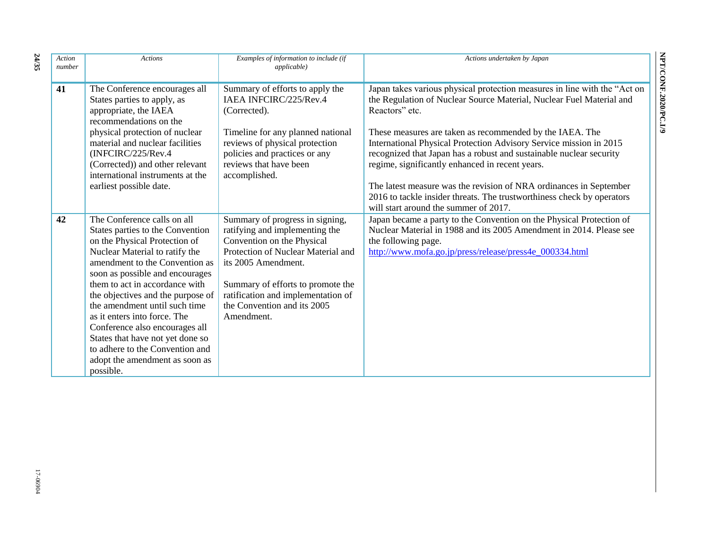| Action<br>number | <b>Actions</b>                                                                                                                                                                                                                                                                                                                                                                                                                                                                                          | Examples of information to include (if<br>applicable)                                                                                                                                                                                                                                | Actions undertaken by Japan                                                                                                                                                                                                                                                                                                                                                                                                                                                                                                                                                     |
|------------------|---------------------------------------------------------------------------------------------------------------------------------------------------------------------------------------------------------------------------------------------------------------------------------------------------------------------------------------------------------------------------------------------------------------------------------------------------------------------------------------------------------|--------------------------------------------------------------------------------------------------------------------------------------------------------------------------------------------------------------------------------------------------------------------------------------|---------------------------------------------------------------------------------------------------------------------------------------------------------------------------------------------------------------------------------------------------------------------------------------------------------------------------------------------------------------------------------------------------------------------------------------------------------------------------------------------------------------------------------------------------------------------------------|
| 41               | The Conference encourages all<br>States parties to apply, as<br>appropriate, the IAEA<br>recommendations on the<br>physical protection of nuclear<br>material and nuclear facilities<br>(INFCIRC/225/Rev.4)<br>(Corrected)) and other relevant<br>international instruments at the<br>earliest possible date.                                                                                                                                                                                           | Summary of efforts to apply the<br>IAEA INFCIRC/225/Rev.4<br>(Corrected).<br>Timeline for any planned national<br>reviews of physical protection<br>policies and practices or any<br>reviews that have been<br>accomplished.                                                         | Japan takes various physical protection measures in line with the "Act on<br>the Regulation of Nuclear Source Material, Nuclear Fuel Material and<br>Reactors" etc.<br>These measures are taken as recommended by the IAEA. The<br>International Physical Protection Advisory Service mission in 2015<br>recognized that Japan has a robust and sustainable nuclear security<br>regime, significantly enhanced in recent years.<br>The latest measure was the revision of NRA ordinances in September<br>2016 to tackle insider threats. The trustworthiness check by operators |
| 42               | The Conference calls on all<br>States parties to the Convention<br>on the Physical Protection of<br>Nuclear Material to ratify the<br>amendment to the Convention as<br>soon as possible and encourages<br>them to act in accordance with<br>the objectives and the purpose of<br>the amendment until such time<br>as it enters into force. The<br>Conference also encourages all<br>States that have not yet done so<br>to adhere to the Convention and<br>adopt the amendment as soon as<br>possible. | Summary of progress in signing,<br>ratifying and implementing the<br>Convention on the Physical<br>Protection of Nuclear Material and<br>its 2005 Amendment.<br>Summary of efforts to promote the<br>ratification and implementation of<br>the Convention and its 2005<br>Amendment. | will start around the summer of 2017.<br>Japan became a party to the Convention on the Physical Protection of<br>Nuclear Material in 1988 and its 2005 Amendment in 2014. Please see<br>the following page.<br>http://www.mofa.go.jp/press/release/press4e_000334.html                                                                                                                                                                                                                                                                                                          |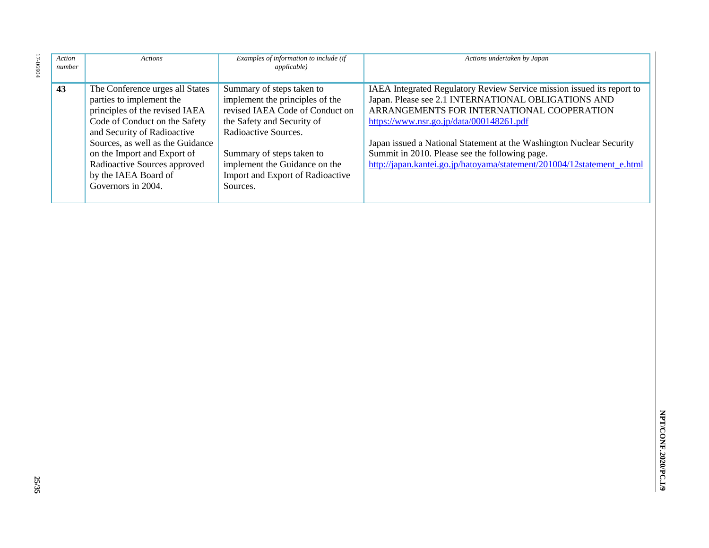| Action<br>number | <b>Actions</b>                                                                                                                                                                                                                                                                                                 | Examples of information to include (if<br><i>applicable</i> )                                                                                                                                                                                                       | Actions undertaken by Japan                                                                                                                                                                                                                                                                                                                                                                                                 |
|------------------|----------------------------------------------------------------------------------------------------------------------------------------------------------------------------------------------------------------------------------------------------------------------------------------------------------------|---------------------------------------------------------------------------------------------------------------------------------------------------------------------------------------------------------------------------------------------------------------------|-----------------------------------------------------------------------------------------------------------------------------------------------------------------------------------------------------------------------------------------------------------------------------------------------------------------------------------------------------------------------------------------------------------------------------|
| 43               | The Conference urges all States<br>parties to implement the<br>principles of the revised IAEA<br>Code of Conduct on the Safety<br>and Security of Radioactive<br>Sources, as well as the Guidance<br>on the Import and Export of<br>Radioactive Sources approved<br>by the IAEA Board of<br>Governors in 2004. | Summary of steps taken to<br>implement the principles of the<br>revised IAEA Code of Conduct on<br>the Safety and Security of<br>Radioactive Sources.<br>Summary of steps taken to<br>implement the Guidance on the<br>Import and Export of Radioactive<br>Sources. | IAEA Integrated Regulatory Review Service mission issued its report to<br>Japan. Please see 2.1 INTERNATIONAL OBLIGATIONS AND<br>ARRANGEMENTS FOR INTERNATIONAL COOPERATION<br>https://www.nsr.go.jp/data/000148261.pdf<br>Japan issued a National Statement at the Washington Nuclear Security<br>Summit in 2010. Please see the following page.<br>http://japan.kantei.go.jp/hatoyama/statement/201004/12statement_e.html |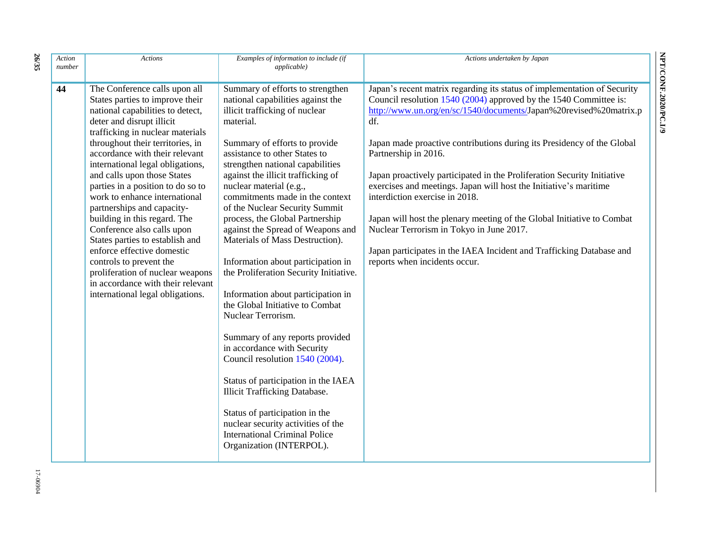| Action<br>number | <b>Actions</b>                                                                                                                                                                                                                                                                                                                                                                                                                                                                                                                                                                                                                                                                            | Examples of information to include (if<br><i>applicable</i> )                                                                                                                                                                                                                                                                                                                                                                                                                                                                                                                                                                                                                                                                                                                                                                                                                                                                                                                              | Actions undertaken by Japan                                                                                                                                                                                                                                                                                                                                                                                                                                                                                                                                                                                                                                                                                                                  |
|------------------|-------------------------------------------------------------------------------------------------------------------------------------------------------------------------------------------------------------------------------------------------------------------------------------------------------------------------------------------------------------------------------------------------------------------------------------------------------------------------------------------------------------------------------------------------------------------------------------------------------------------------------------------------------------------------------------------|--------------------------------------------------------------------------------------------------------------------------------------------------------------------------------------------------------------------------------------------------------------------------------------------------------------------------------------------------------------------------------------------------------------------------------------------------------------------------------------------------------------------------------------------------------------------------------------------------------------------------------------------------------------------------------------------------------------------------------------------------------------------------------------------------------------------------------------------------------------------------------------------------------------------------------------------------------------------------------------------|----------------------------------------------------------------------------------------------------------------------------------------------------------------------------------------------------------------------------------------------------------------------------------------------------------------------------------------------------------------------------------------------------------------------------------------------------------------------------------------------------------------------------------------------------------------------------------------------------------------------------------------------------------------------------------------------------------------------------------------------|
| 44               | The Conference calls upon all<br>States parties to improve their<br>national capabilities to detect,<br>deter and disrupt illicit<br>trafficking in nuclear materials<br>throughout their territories, in<br>accordance with their relevant<br>international legal obligations,<br>and calls upon those States<br>parties in a position to do so to<br>work to enhance international<br>partnerships and capacity-<br>building in this regard. The<br>Conference also calls upon<br>States parties to establish and<br>enforce effective domestic<br>controls to prevent the<br>proliferation of nuclear weapons<br>in accordance with their relevant<br>international legal obligations. | Summary of efforts to strengthen<br>national capabilities against the<br>illicit trafficking of nuclear<br>material.<br>Summary of efforts to provide<br>assistance to other States to<br>strengthen national capabilities<br>against the illicit trafficking of<br>nuclear material (e.g.,<br>commitments made in the context<br>of the Nuclear Security Summit<br>process, the Global Partnership<br>against the Spread of Weapons and<br>Materials of Mass Destruction).<br>Information about participation in<br>the Proliferation Security Initiative.<br>Information about participation in<br>the Global Initiative to Combat<br>Nuclear Terrorism.<br>Summary of any reports provided<br>in accordance with Security<br>Council resolution 1540 (2004).<br>Status of participation in the IAEA<br><b>Illicit Trafficking Database.</b><br>Status of participation in the<br>nuclear security activities of the<br><b>International Criminal Police</b><br>Organization (INTERPOL). | Japan's recent matrix regarding its status of implementation of Security<br>Council resolution 1540 (2004) approved by the 1540 Committee is:<br>http://www.un.org/en/sc/1540/documents/Japan%20revised%20matrix.p<br>df.<br>Japan made proactive contributions during its Presidency of the Global<br>Partnership in 2016.<br>Japan proactively participated in the Proliferation Security Initiative<br>exercises and meetings. Japan will host the Initiative's maritime<br>interdiction exercise in 2018.<br>Japan will host the plenary meeting of the Global Initiative to Combat<br>Nuclear Terrorism in Tokyo in June 2017.<br>Japan participates in the IAEA Incident and Trafficking Database and<br>reports when incidents occur. |

**26**

**/35**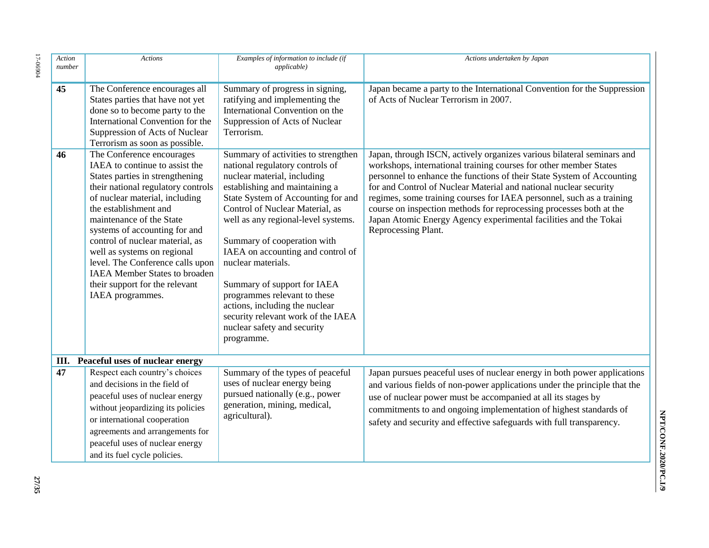| Action<br>number | <b>Actions</b>                                                                                                                                                                                                                                                                                                                                                                                                                                                   | Examples of information to include (if<br>applicable)                                                                                                                                                                                                                                                                                                                                                                                                                                                                                 | Actions undertaken by Japan                                                                                                                                                                                                                                                                                                                                                                                                                                                                                                           |
|------------------|------------------------------------------------------------------------------------------------------------------------------------------------------------------------------------------------------------------------------------------------------------------------------------------------------------------------------------------------------------------------------------------------------------------------------------------------------------------|---------------------------------------------------------------------------------------------------------------------------------------------------------------------------------------------------------------------------------------------------------------------------------------------------------------------------------------------------------------------------------------------------------------------------------------------------------------------------------------------------------------------------------------|---------------------------------------------------------------------------------------------------------------------------------------------------------------------------------------------------------------------------------------------------------------------------------------------------------------------------------------------------------------------------------------------------------------------------------------------------------------------------------------------------------------------------------------|
| 45               | The Conference encourages all<br>States parties that have not yet<br>done so to become party to the<br>International Convention for the<br>Suppression of Acts of Nuclear<br>Terrorism as soon as possible.                                                                                                                                                                                                                                                      | Summary of progress in signing,<br>ratifying and implementing the<br>International Convention on the<br>Suppression of Acts of Nuclear<br>Terrorism.                                                                                                                                                                                                                                                                                                                                                                                  | Japan became a party to the International Convention for the Suppression<br>of Acts of Nuclear Terrorism in 2007.                                                                                                                                                                                                                                                                                                                                                                                                                     |
| 46               | The Conference encourages<br>IAEA to continue to assist the<br>States parties in strengthening<br>their national regulatory controls<br>of nuclear material, including<br>the establishment and<br>maintenance of the State<br>systems of accounting for and<br>control of nuclear material, as<br>well as systems on regional<br>level. The Conference calls upon<br><b>IAEA</b> Member States to broaden<br>their support for the relevant<br>IAEA programmes. | Summary of activities to strengthen<br>national regulatory controls of<br>nuclear material, including<br>establishing and maintaining a<br>State System of Accounting for and<br>Control of Nuclear Material, as<br>well as any regional-level systems.<br>Summary of cooperation with<br>IAEA on accounting and control of<br>nuclear materials.<br>Summary of support for IAEA<br>programmes relevant to these<br>actions, including the nuclear<br>security relevant work of the IAEA<br>nuclear safety and security<br>programme. | Japan, through ISCN, actively organizes various bilateral seminars and<br>workshops, international training courses for other member States<br>personnel to enhance the functions of their State System of Accounting<br>for and Control of Nuclear Material and national nuclear security<br>regimes, some training courses for IAEA personnel, such as a training<br>course on inspection methods for reprocessing processes both at the<br>Japan Atomic Energy Agency experimental facilities and the Tokai<br>Reprocessing Plant. |
|                  | III. Peaceful uses of nuclear energy                                                                                                                                                                                                                                                                                                                                                                                                                             |                                                                                                                                                                                                                                                                                                                                                                                                                                                                                                                                       |                                                                                                                                                                                                                                                                                                                                                                                                                                                                                                                                       |
| 47               | Respect each country's choices<br>and decisions in the field of<br>peaceful uses of nuclear energy<br>without jeopardizing its policies<br>or international cooperation<br>agreements and arrangements for<br>peaceful uses of nuclear energy<br>and its fuel cycle policies.                                                                                                                                                                                    | Summary of the types of peaceful<br>uses of nuclear energy being<br>pursued nationally (e.g., power<br>generation, mining, medical,<br>agricultural).                                                                                                                                                                                                                                                                                                                                                                                 | Japan pursues peaceful uses of nuclear energy in both power applications<br>and various fields of non-power applications under the principle that the<br>use of nuclear power must be accompanied at all its stages by<br>commitments to and ongoing implementation of highest standards of<br>safety and security and effective safeguards with full transparency.                                                                                                                                                                   |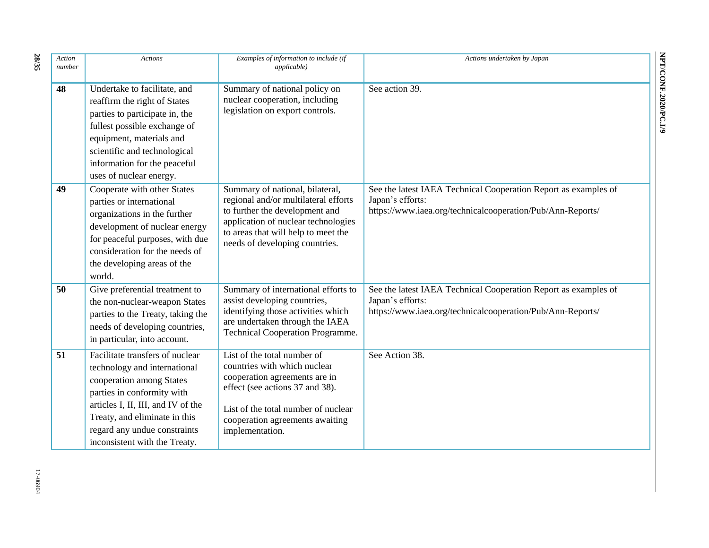| Action<br>number | <b>Actions</b>                                                                                                                                                                                                                                                    | Examples of information to include (if<br><i>applicable</i> )                                                                                                                                                                | Actions undertaken by Japan                                                                                                                       |
|------------------|-------------------------------------------------------------------------------------------------------------------------------------------------------------------------------------------------------------------------------------------------------------------|------------------------------------------------------------------------------------------------------------------------------------------------------------------------------------------------------------------------------|---------------------------------------------------------------------------------------------------------------------------------------------------|
| 48               | Undertake to facilitate, and<br>reaffirm the right of States<br>parties to participate in, the<br>fullest possible exchange of<br>equipment, materials and<br>scientific and technological<br>information for the peaceful<br>uses of nuclear energy.             | Summary of national policy on<br>nuclear cooperation, including<br>legislation on export controls.                                                                                                                           | See action 39.                                                                                                                                    |
| 49               | Cooperate with other States<br>parties or international<br>organizations in the further<br>development of nuclear energy<br>for peaceful purposes, with due<br>consideration for the needs of<br>the developing areas of the<br>world.                            | Summary of national, bilateral,<br>regional and/or multilateral efforts<br>to further the development and<br>application of nuclear technologies<br>to areas that will help to meet the<br>needs of developing countries.    | See the latest IAEA Technical Cooperation Report as examples of<br>Japan's efforts:<br>https://www.iaea.org/technicalcooperation/Pub/Ann-Reports/ |
| 50               | Give preferential treatment to<br>the non-nuclear-weapon States<br>parties to the Treaty, taking the<br>needs of developing countries,<br>in particular, into account.                                                                                            | Summary of international efforts to<br>assist developing countries,<br>identifying those activities which<br>are undertaken through the IAEA<br>Technical Cooperation Programme.                                             | See the latest IAEA Technical Cooperation Report as examples of<br>Japan's efforts:<br>https://www.iaea.org/technicalcooperation/Pub/Ann-Reports/ |
| 51               | Facilitate transfers of nuclear<br>technology and international<br>cooperation among States<br>parties in conformity with<br>articles I, II, III, and IV of the<br>Treaty, and eliminate in this<br>regard any undue constraints<br>inconsistent with the Treaty. | List of the total number of<br>countries with which nuclear<br>cooperation agreements are in<br>effect (see actions 37 and 38).<br>List of the total number of nuclear<br>cooperation agreements awaiting<br>implementation. | See Action 38.                                                                                                                                    |

**28 /35**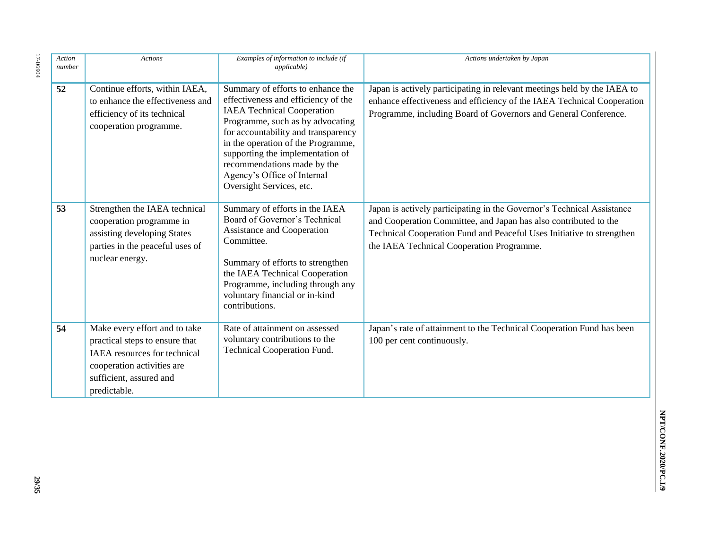| Action<br>number | <b>Actions</b>                                                                                                                                                                  | Examples of information to include (if<br>applicable)                                                                                                                                                                                                                                                                                                        | Actions undertaken by Japan                                                                                                                                                                                                                                      |
|------------------|---------------------------------------------------------------------------------------------------------------------------------------------------------------------------------|--------------------------------------------------------------------------------------------------------------------------------------------------------------------------------------------------------------------------------------------------------------------------------------------------------------------------------------------------------------|------------------------------------------------------------------------------------------------------------------------------------------------------------------------------------------------------------------------------------------------------------------|
| 52               | Continue efforts, within IAEA,<br>to enhance the effectiveness and<br>efficiency of its technical<br>cooperation programme.                                                     | Summary of efforts to enhance the<br>effectiveness and efficiency of the<br><b>IAEA Technical Cooperation</b><br>Programme, such as by advocating<br>for accountability and transparency<br>in the operation of the Programme,<br>supporting the implementation of<br>recommendations made by the<br>Agency's Office of Internal<br>Oversight Services, etc. | Japan is actively participating in relevant meetings held by the IAEA to<br>enhance effectiveness and efficiency of the IAEA Technical Cooperation<br>Programme, including Board of Governors and General Conference.                                            |
| 53               | Strengthen the IAEA technical<br>cooperation programme in<br>assisting developing States<br>parties in the peaceful uses of<br>nuclear energy.                                  | Summary of efforts in the IAEA<br>Board of Governor's Technical<br><b>Assistance and Cooperation</b><br>Committee.<br>Summary of efforts to strengthen<br>the IAEA Technical Cooperation<br>Programme, including through any<br>voluntary financial or in-kind<br>contributions.                                                                             | Japan is actively participating in the Governor's Technical Assistance<br>and Cooperation Committee, and Japan has also contributed to the<br>Technical Cooperation Fund and Peaceful Uses Initiative to strengthen<br>the IAEA Technical Cooperation Programme. |
| 54               | Make every effort and to take<br>practical steps to ensure that<br><b>IAEA</b> resources for technical<br>cooperation activities are<br>sufficient, assured and<br>predictable. | Rate of attainment on assessed<br>voluntary contributions to the<br>Technical Cooperation Fund.                                                                                                                                                                                                                                                              | Japan's rate of attainment to the Technical Cooperation Fund has been<br>100 per cent continuously.                                                                                                                                                              |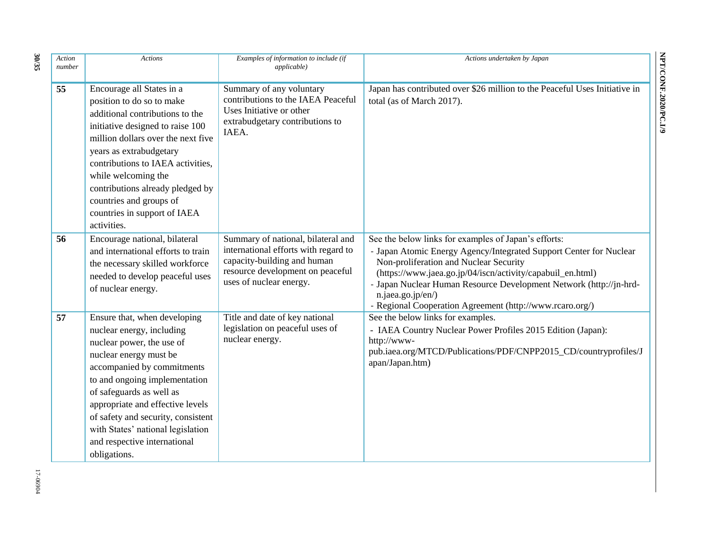| Action<br>number | <b>Actions</b>                                                                                                                                                                                                                                                                                                                                                             | Examples of information to include (if<br><i>applicable</i> )                                                                                                            | Actions undertaken by Japan                                                                                                                                                                                                                                                                                                                                                               |
|------------------|----------------------------------------------------------------------------------------------------------------------------------------------------------------------------------------------------------------------------------------------------------------------------------------------------------------------------------------------------------------------------|--------------------------------------------------------------------------------------------------------------------------------------------------------------------------|-------------------------------------------------------------------------------------------------------------------------------------------------------------------------------------------------------------------------------------------------------------------------------------------------------------------------------------------------------------------------------------------|
| 55               | Encourage all States in a<br>position to do so to make<br>additional contributions to the<br>initiative designed to raise 100<br>million dollars over the next five<br>years as extrabudgetary<br>contributions to IAEA activities,<br>while welcoming the<br>contributions already pledged by<br>countries and groups of<br>countries in support of IAEA<br>activities.   | Summary of any voluntary<br>contributions to the IAEA Peaceful<br>Uses Initiative or other<br>extrabudgetary contributions to<br>IAEA.                                   | Japan has contributed over \$26 million to the Peaceful Uses Initiative in<br>total (as of March 2017).                                                                                                                                                                                                                                                                                   |
| 56               | Encourage national, bilateral<br>and international efforts to train<br>the necessary skilled workforce<br>needed to develop peaceful uses<br>of nuclear energy.                                                                                                                                                                                                            | Summary of national, bilateral and<br>international efforts with regard to<br>capacity-building and human<br>resource development on peaceful<br>uses of nuclear energy. | See the below links for examples of Japan's efforts:<br>- Japan Atomic Energy Agency/Integrated Support Center for Nuclear<br>Non-proliferation and Nuclear Security<br>(https://www.jaea.go.jp/04/iscn/activity/capabuil_en.html)<br>- Japan Nuclear Human Resource Development Network (http://jn-hrd-<br>n.jaea.go.jp/en/)<br>- Regional Cooperation Agreement (http://www.rcaro.org/) |
| 57               | Ensure that, when developing<br>nuclear energy, including<br>nuclear power, the use of<br>nuclear energy must be<br>accompanied by commitments<br>to and ongoing implementation<br>of safeguards as well as<br>appropriate and effective levels<br>of safety and security, consistent<br>with States' national legislation<br>and respective international<br>obligations. | Title and date of key national<br>legislation on peaceful uses of<br>nuclear energy.                                                                                     | See the below links for examples.<br>- IAEA Country Nuclear Power Profiles 2015 Edition (Japan):<br>http://www-<br>pub.iaea.org/MTCD/Publications/PDF/CNPP2015_CD/countryprofiles/J<br>apan/Japan.htm)                                                                                                                                                                                    |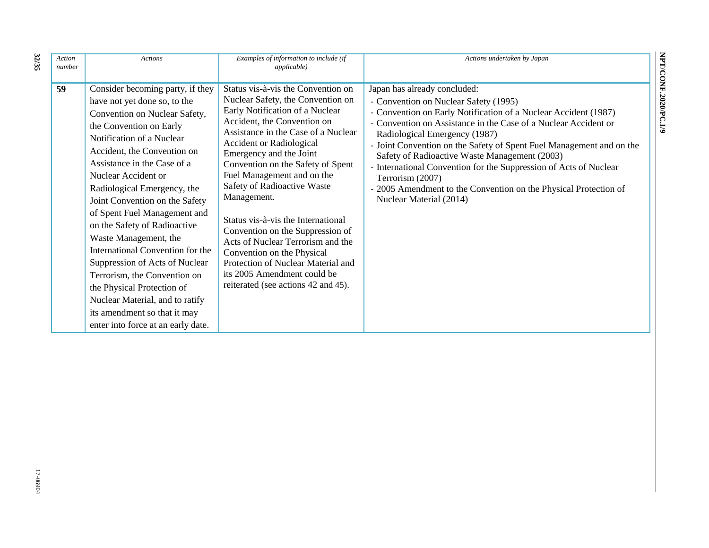| Action<br>number | <b>Actions</b>                                                                                                                                                                                                                                                                                                                                                                                                                                                                                                                                                                                                                                        | Examples of information to include (if<br><i>applicable</i> )                                                                                                                                                                                                                                                                                                                                                                                                                                                                                                                                                            | Actions undertaken by Japan                                                                                                                                                                                                                                                                                                                                                                                                                                                                                                                                   |
|------------------|-------------------------------------------------------------------------------------------------------------------------------------------------------------------------------------------------------------------------------------------------------------------------------------------------------------------------------------------------------------------------------------------------------------------------------------------------------------------------------------------------------------------------------------------------------------------------------------------------------------------------------------------------------|--------------------------------------------------------------------------------------------------------------------------------------------------------------------------------------------------------------------------------------------------------------------------------------------------------------------------------------------------------------------------------------------------------------------------------------------------------------------------------------------------------------------------------------------------------------------------------------------------------------------------|---------------------------------------------------------------------------------------------------------------------------------------------------------------------------------------------------------------------------------------------------------------------------------------------------------------------------------------------------------------------------------------------------------------------------------------------------------------------------------------------------------------------------------------------------------------|
| 59               | Consider becoming party, if they<br>have not yet done so, to the<br>Convention on Nuclear Safety,<br>the Convention on Early<br>Notification of a Nuclear<br>Accident, the Convention on<br>Assistance in the Case of a<br>Nuclear Accident or<br>Radiological Emergency, the<br>Joint Convention on the Safety<br>of Spent Fuel Management and<br>on the Safety of Radioactive<br>Waste Management, the<br>International Convention for the<br>Suppression of Acts of Nuclear<br>Terrorism, the Convention on<br>the Physical Protection of<br>Nuclear Material, and to ratify<br>its amendment so that it may<br>enter into force at an early date. | Status vis-à-vis the Convention on<br>Nuclear Safety, the Convention on<br>Early Notification of a Nuclear<br>Accident, the Convention on<br>Assistance in the Case of a Nuclear<br><b>Accident or Radiological</b><br>Emergency and the Joint<br>Convention on the Safety of Spent<br>Fuel Management and on the<br>Safety of Radioactive Waste<br>Management.<br>Status vis-à-vis the International<br>Convention on the Suppression of<br>Acts of Nuclear Terrorism and the<br>Convention on the Physical<br>Protection of Nuclear Material and<br>its 2005 Amendment could be<br>reiterated (see actions 42 and 45). | Japan has already concluded:<br>- Convention on Nuclear Safety (1995)<br>- Convention on Early Notification of a Nuclear Accident (1987)<br>- Convention on Assistance in the Case of a Nuclear Accident or<br>Radiological Emergency (1987)<br>- Joint Convention on the Safety of Spent Fuel Management and on the<br>Safety of Radioactive Waste Management (2003)<br>- International Convention for the Suppression of Acts of Nuclear<br>Terrorism (2007)<br>- 2005 Amendment to the Convention on the Physical Protection of<br>Nuclear Material (2014) |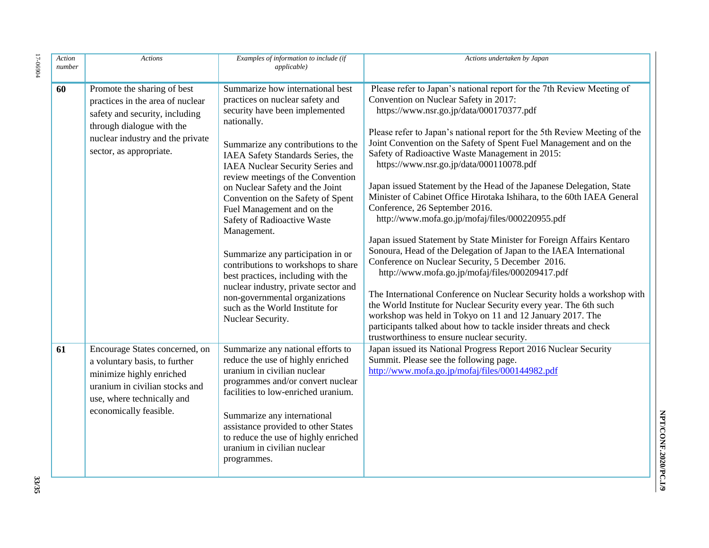| Action<br>number | <b>Actions</b>                                                                                                                                                                                | Examples of information to include (if<br><i>applicable</i> )                                                                                                                                                                                                                                                                                                                                                                                                                                                                                                                                                                                                                    | Actions undertaken by Japan                                                                                                                                                                                                                                                                                                                                                                                                                                                                                                                                                                                                                                                                                                                                                                                                                                                                                                                                                                                                                                                                                                                                                                                                              |
|------------------|-----------------------------------------------------------------------------------------------------------------------------------------------------------------------------------------------|----------------------------------------------------------------------------------------------------------------------------------------------------------------------------------------------------------------------------------------------------------------------------------------------------------------------------------------------------------------------------------------------------------------------------------------------------------------------------------------------------------------------------------------------------------------------------------------------------------------------------------------------------------------------------------|------------------------------------------------------------------------------------------------------------------------------------------------------------------------------------------------------------------------------------------------------------------------------------------------------------------------------------------------------------------------------------------------------------------------------------------------------------------------------------------------------------------------------------------------------------------------------------------------------------------------------------------------------------------------------------------------------------------------------------------------------------------------------------------------------------------------------------------------------------------------------------------------------------------------------------------------------------------------------------------------------------------------------------------------------------------------------------------------------------------------------------------------------------------------------------------------------------------------------------------|
| 60               | Promote the sharing of best<br>practices in the area of nuclear<br>safety and security, including<br>through dialogue with the<br>nuclear industry and the private<br>sector, as appropriate. | Summarize how international best<br>practices on nuclear safety and<br>security have been implemented<br>nationally.<br>Summarize any contributions to the<br>IAEA Safety Standards Series, the<br>IAEA Nuclear Security Series and<br>review meetings of the Convention<br>on Nuclear Safety and the Joint<br>Convention on the Safety of Spent<br>Fuel Management and on the<br>Safety of Radioactive Waste<br>Management.<br>Summarize any participation in or<br>contributions to workshops to share<br>best practices, including with the<br>nuclear industry, private sector and<br>non-governmental organizations<br>such as the World Institute for<br>Nuclear Security. | Please refer to Japan's national report for the 7th Review Meeting of<br>Convention on Nuclear Safety in 2017:<br>https://www.nsr.go.jp/data/000170377.pdf<br>Please refer to Japan's national report for the 5th Review Meeting of the<br>Joint Convention on the Safety of Spent Fuel Management and on the<br>Safety of Radioactive Waste Management in 2015:<br>https://www.nsr.go.jp/data/000110078.pdf<br>Japan issued Statement by the Head of the Japanese Delegation, State<br>Minister of Cabinet Office Hirotaka Ishihara, to the 60th IAEA General<br>Conference, 26 September 2016.<br>http://www.mofa.go.jp/mofaj/files/000220955.pdf<br>Japan issued Statement by State Minister for Foreign Affairs Kentaro<br>Sonoura, Head of the Delegation of Japan to the IAEA International<br>Conference on Nuclear Security, 5 December 2016.<br>http://www.mofa.go.jp/mofaj/files/000209417.pdf<br>The International Conference on Nuclear Security holds a workshop with<br>the World Institute for Nuclear Security every year. The 6th such<br>workshop was held in Tokyo on 11 and 12 January 2017. The<br>participants talked about how to tackle insider threats and check<br>trustworthiness to ensure nuclear security. |
| 61               | Encourage States concerned, on<br>a voluntary basis, to further<br>minimize highly enriched<br>uranium in civilian stocks and<br>use, where technically and<br>economically feasible.         | Summarize any national efforts to<br>reduce the use of highly enriched<br>uranium in civilian nuclear<br>programmes and/or convert nuclear<br>facilities to low-enriched uranium.<br>Summarize any international<br>assistance provided to other States<br>to reduce the use of highly enriched<br>uranium in civilian nuclear<br>programmes.                                                                                                                                                                                                                                                                                                                                    | Japan issued its National Progress Report 2016 Nuclear Security<br>Summit. Please see the following page.<br>http://www.mofa.go.jp/mofaj/files/000144982.pdf                                                                                                                                                                                                                                                                                                                                                                                                                                                                                                                                                                                                                                                                                                                                                                                                                                                                                                                                                                                                                                                                             |

**33/35**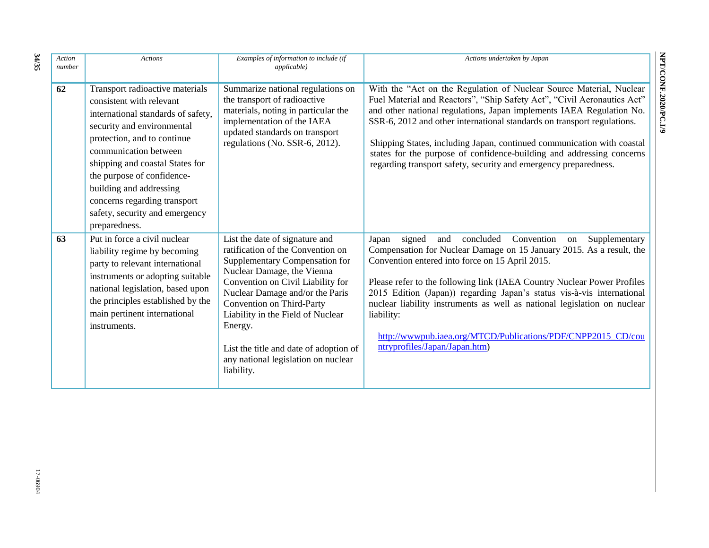| Action<br>number | <b>Actions</b>                                                                                                                                                                                                                                                                                                                                                         | Examples of information to include (if<br><i>applicable</i> )                                                                                                                                                                                                                                                                                                                           | Actions undertaken by Japan                                                                                                                                                                                                                                                                                                                                                                                                                                                                                                                         |
|------------------|------------------------------------------------------------------------------------------------------------------------------------------------------------------------------------------------------------------------------------------------------------------------------------------------------------------------------------------------------------------------|-----------------------------------------------------------------------------------------------------------------------------------------------------------------------------------------------------------------------------------------------------------------------------------------------------------------------------------------------------------------------------------------|-----------------------------------------------------------------------------------------------------------------------------------------------------------------------------------------------------------------------------------------------------------------------------------------------------------------------------------------------------------------------------------------------------------------------------------------------------------------------------------------------------------------------------------------------------|
| 62               | Transport radioactive materials<br>consistent with relevant<br>international standards of safety,<br>security and environmental<br>protection, and to continue<br>communication between<br>shipping and coastal States for<br>the purpose of confidence-<br>building and addressing<br>concerns regarding transport<br>safety, security and emergency<br>preparedness. | Summarize national regulations on<br>the transport of radioactive<br>materials, noting in particular the<br>implementation of the IAEA<br>updated standards on transport<br>regulations (No. SSR-6, 2012).                                                                                                                                                                              | With the "Act on the Regulation of Nuclear Source Material, Nuclear<br>Fuel Material and Reactors", "Ship Safety Act", "Civil Aeronautics Act"<br>and other national regulations, Japan implements IAEA Regulation No.<br>SSR-6, 2012 and other international standards on transport regulations.<br>Shipping States, including Japan, continued communication with coastal<br>states for the purpose of confidence-building and addressing concerns<br>regarding transport safety, security and emergency preparedness.                            |
| 63               | Put in force a civil nuclear<br>liability regime by becoming<br>party to relevant international<br>instruments or adopting suitable<br>national legislation, based upon<br>the principles established by the<br>main pertinent international<br>instruments.                                                                                                           | List the date of signature and<br>ratification of the Convention on<br>Supplementary Compensation for<br>Nuclear Damage, the Vienna<br>Convention on Civil Liability for<br>Nuclear Damage and/or the Paris<br>Convention on Third-Party<br>Liability in the Field of Nuclear<br>Energy.<br>List the title and date of adoption of<br>any national legislation on nuclear<br>liability. | signed<br>concluded<br>Convention<br>Supplementary<br>Japan<br>and<br>on<br>Compensation for Nuclear Damage on 15 January 2015. As a result, the<br>Convention entered into force on 15 April 2015.<br>Please refer to the following link (IAEA Country Nuclear Power Profiles<br>2015 Edition (Japan)) regarding Japan's status vis-à-vis international<br>nuclear liability instruments as well as national legislation on nuclear<br>liability:<br>http://wwwpub.iaea.org/MTCD/Publications/PDF/CNPP2015_CD/cou<br>ntryprofiles/Japan/Japan.htm) |